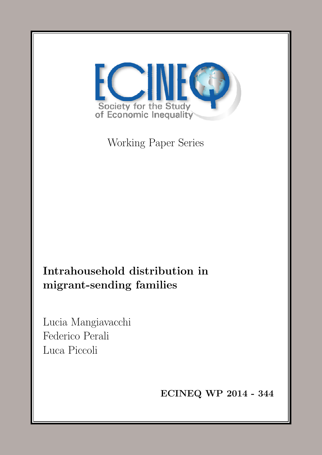<span id="page-0-0"></span>

Working Paper Series

Intrahousehold distribution in migrant-sending families

Lucia Mangiavacchi Federico Perali Luca Piccoli

ECINEQ WP 2014 - 344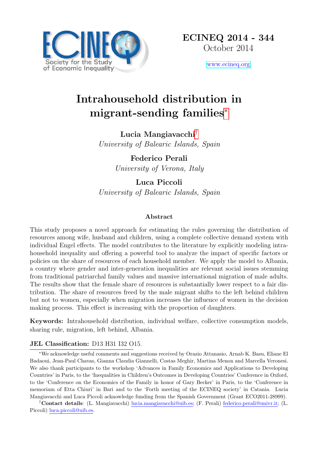

[www.ecineq.org](file:www.ecineq.org)

# Intrahousehold distribution in migrant-sending families[∗](#page-0-0)

Lucia Mangiavacchi[†](#page-0-0) University of Balearic Islands, Spain

> Federico Perali University of Verona, Italy

Luca Piccoli University of Balearic Islands, Spain

### Abstract

This study proposes a novel approach for estimating the rules governing the distribution of resources among wife, husband and children, using a complete collective demand system with individual Engel effects. The model contributes to the literature by explicitly modeling intrahousehold inequality and offering a powerful tool to analyze the impact of specific factors or policies on the share of resources of each household member. We apply the model to Albania, a country where gender and inter-generation inequalities are relevant social issues stemming from traditional patriarchal family values and massive international migration of male adults. The results show that the female share of resources is substantially lower respect to a fair distribution. The share of resources freed by the male migrant shifts to the left behind children but not to women, especially when migration increases the influence of women in the decision making process. This effect is increasing with the proportion of daughters.

Keywords: Intrahousehold distribution, individual welfare, collective consumption models, sharing rule, migration, left behind, Albania.

### JEL Classification: D13 H31 I32 O15.

<sup>∗</sup>We acknowledge useful comments and suggestions received by Orazio Attanasio, Arnab K. Basu, Eliane El Badaoui, Jean-Paul Chavas, Gianna Claudia Giannelli, Costas Meghir, Martina Menon and Marcella Veronesi. We also thank participants to the workshop 'Advances in Family Economics and Applications to Developing Countries' in Paris, to the 'Inequalities in Children's Outcomes in Developing Countries' Conference in Oxford, to the 'Conference on the Economics of the Family in honor of Gary Becker' in Paris, to the 'Conference in memoriam of Etta Chiuri' in Bari and to the 'Forth meeting of the ECINEQ society' in Catania. Lucia Mangiavacchi and Luca Piccoli acknowledge funding from the Spanish Government (Grant ECO2011-28999).

†Contact details: (L. Mangiavacchi) lucia.mangiavacchi@uib.es; (F. Perali) federico.perali@univr.it; (L. Piccoli) luca.piccoli@uib.es.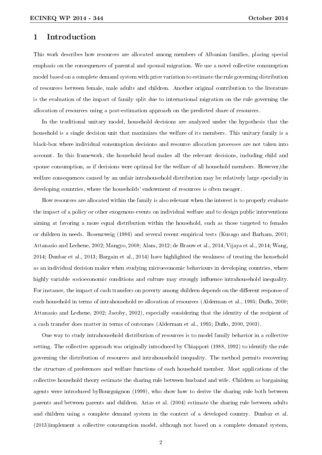### 1 Introduction

This work describes how resources are allocated among members of Albanian families, placing special emphasis on the consequences of parental and spousal migration. We use a novel collective consumption model based on a complete demand system with price variation to estimate the rule governing distribution of resources between female, male adults and children. Another original contribution to the literature is the evaluation of the impact of family split due to international migration on the rule governing the allocation of resources using a post-estimation approach on the predicted share of resources.

In the traditional unitary model, household decisions are analyzed under the hypothesis that the household is a single decision unit that maximizes the welfare of its members. This unitary family is a black-box where individual consumption decisions and resource allocation processes are not taken into account. In this framework, the household head makes all the relevant decisions, including child and spouse consumption, as if decisions were optimal for the welfare of all household members. However,the welfare consequences caused by an unfair intrahousehold distribution may be relatively large specially in developing countries, where the households' endowment of resources is often meager.

How resources are allocated within the family is also relevant when the interest is to properly evaluate the impact of a policy or other exogenous events on individual welfare and to design public interventions aiming at favoring a more equal distribution within the household, such as those targeted to females or children in needs. Rosenzweig (1986) and several recent empirical tests (Kusago and Barham, 2001; Attanasio and Lechene, 2002; Mangyo, 2008; Alam, 2012; de Brauw et al., 2014; Vijaya et al., 2014; Wang, 2014; Dunbar et al., 2013; Bargain et al., 2014) have highlighted the weakness of treating the household as an individual decision maker when studying microeconomic behaviours in developing countries, where highly variable socioeconomic conditions and culture may strongly influence intrahousehold inequality. For instance, the impact of cash transfers on poverty among children depends on the different response of each household in terms of intrahousehold re-allocation of resources (Alderman et al., 1995; Duflo, 2000; Attanasio and Lechene, 2002; Jacoby, 2002), especially considering that the identity of the recipient of a cash transfer does matter in terms of outcomes (Alderman et al., 1995; Duflo, 2000, 2003).

One way to study intrahousehold distribution of resources is to model family behavior in a collective setting. The collective approach was originally introduced by Chiappori (1988, 1992) to identify the rule governing the distribution of resources and intrahousehold inequality. The method permits recovering the structure of preferences and welfare functions of each household member. Most applications of the collective household theory estimate the sharing rule between husband and wife. Children as bargaining agents were introduced byBourguignon (1999), who show how to derive the sharing rule both between parents and between parents and children. Arias et al. (2004) estimate the sharing rule between adults and children using a complete demand system in the context of a developed country. Dunbar et al. (2013)implement a collective consumption model, although not based on a complete demand system,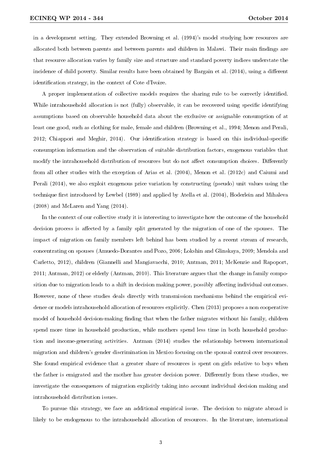in a development setting. They extended Browning et al. (1994)'s model studying how resources are allocated both between parents and between parents and children in Malawi. Their main findings are that resource allocation varies by family size and structure and standard poverty indices understate the incidence of child poverty. Similar results have been obtained by Bargain et al.  $(2014)$ , using a different identification strategy, in the context of Cote d'Ivoire.

A proper implementation of collective models requires the sharing rule to be correctly identied. While intrahousehold allocation is not (fully) observable, it can be recovered using specific identifying assumptions based on observable household data about the exclusive or assignable consumption of at least one good, such as clothing for male, female and children (Browning et al., 1994; Menon and Perali, 2012; Chiappori and Meghir, 2014). Our identification strategy is based on this individual-specific consumption information and the observation of suitable distribution factors, exogenous variables that modify the intrahousehold distribution of resources but do not affect consumption choices. Differently from all other studies with the exception of Arias et al. (2004), Menon et al. (2012c) and Caiumi and Perali (2014), we also exploit exogenous price variation by constructing (pseudo) unit values using the technique first introduced by Lewbel (1989) and applied by Atella et al. (2004), Hoderlein and Mihaleva (2008) and McLaren and Yang (2014).

In the context of our collective study it is interesting to investigate how the outcome of the household decision process is affected by a family split generated by the migration of one of the spouses. The impact of migration on family members left behind has been studied by a recent stream of research, concentrating on spouses (Amuedo-Dorantes and Pozo, 2006; Lokshin and Glinskaya, 2009; Mendola and Carletto, 2012), children (Giannelli and Mangiavacchi, 2010; Antman, 2011; McKenzie and Rapoport, 2011; Antman, 2012) or elderly (Antman, 2010). This literature argues that the change in family composition due to migration leads to a shift in decision making power, possibly affecting individual outcomes. However, none of these studies deals directly with transmission mechanisms behind the empirical evidence or models intrahousehold allocation of resources explicitly. Chen (2013) proposes a non cooperative model of household decision-making finding that when the father migrates without his family, children spend more time in household production, while mothers spend less time in both household production and income-generating activities. Antman (2014) studies the relationship between international migration and children's gender discrimination in Mexico focusing on the spousal control over resources. She found empirical evidence that a greater share of resources is spent on girls relative to boys when the father is emigrated and the mother has greater decision power. Differently from these studies, we investigate the consequences of migration explicitly taking into account individual decision making and intrahousehold distribution issues.

To pursue this strategy, we face an additional empirical issue. The decision to migrate abroad is likely to be endogenous to the intrahousehold allocation of resources. In the literature, international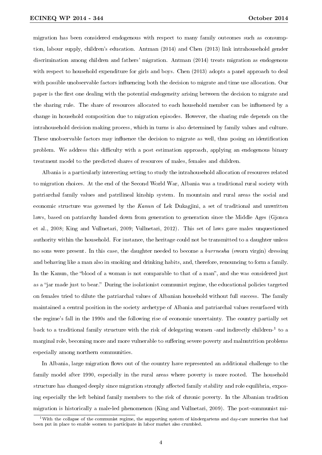migration has been considered endogenous with respect to many family outcomes such as consumption, labour supply, children's education. Antman (2014) and Chen (2013) link intrahousehold gender discrimination among children and fathers' migration. Antman (2014) treats migration as endogenous with respect to household expenditure for girls and boys. Chen (2013) adopts a panel approach to deal with possible unobservable factors influencing both the decision to migrate and time use allocation. Our paper is the first one dealing with the potential endogeneity arising between the decision to migrate and the sharing rule. The share of resources allocated to each household member can be influenced by a change in household composition due to migration episodes. However, the sharing rule depends on the intrahousehold decision making process, which in turns is also determined by family values and culture. These unobservable factors may influence the decision to migrate as well, thus posing an identification problem. We address this difficulty with a post estimation approach, applying an endogenous binary treatment model to the predicted shares of resources of males, females and children.

Albania is a particularly interesting setting to study the intrahousehold allocation of resources related to migration choices. At the end of the Second World War, Albania was a traditional rural society with patriarchal family values and patrilineal kinship system. In mountain and rural areas the social and economic structure was governed by the Kanun of Lek Dukagjini, a set of traditional and unwritten laws, based on patriarchy handed down from generation to generation since the Middle Ages (Gjonca et al., 2008; King and Vullnetari, 2009; Vullnetari, 2012). This set of laws gave males unquestioned authority within the household. For instance, the heritage could not be transmitted to a daughter unless no sons were present. In this case, the daughter needed to become a burrnesha (sworn virgin) dressing and behaving like a man also in smoking and drinking habits, and, therefore, renouncing to form a family. In the Kanun, the "blood of a woman is not comparable to that of a man", and she was considered just as a "jar made just to bear." During the isolationist communist regime, the educational policies targeted on females tried to dilute the patriarchal values of Albanian household without full success. The family maintained a central position in the society archetype of Albania and patriarchal values resurfaced with the regime's fall in the 1990s and the following rise of economic uncertainty. The country partially set back to a traditional family structure with the risk of delegating women -and indirectly children-<sup>1</sup> to a marginal role, becoming more and more vulnerable to suffering severe poverty and malnutrition problems especially among northern communities.

In Albania, large migration flows out of the country have represented an additional challenge to the family model after 1990, especially in the rural areas where poverty is more rooted. The household structure has changed deeply since migration strongly affected family stability and role equilibria, exposing especially the left behind family members to the risk of chronic poverty. In the Albanian tradition migration is historically a male-led phenomenon (King and Vullnetari, 2009). The post-communist mi-

<sup>&</sup>lt;sup>1</sup>With the collapse of the communist regime, the supporting system of kindergartens and day-care nurseries that had been put in place to enable women to participate in labor market also crumbled.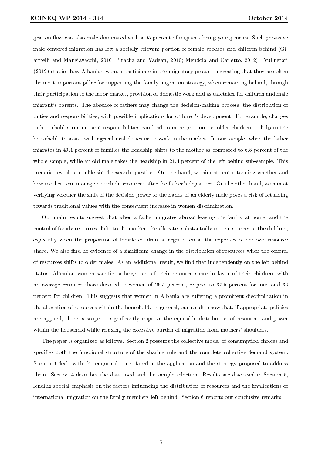gration flow was also male-dominated with a 95 percent of migrants being young males. Such pervasive male-centered migration has left a socially relevant portion of female spouses and children behind (Giannelli and Mangiavacchi, 2010; Piracha and Vadean, 2010; Mendola and Carletto, 2012). Vullnetari (2012) studies how Albanian women participate in the migratory process suggesting that they are often the most important pillar for supporting the family migration strategy, when remaining behind, through their participation to the labor market, provision of domestic work and as caretaker for children and male migrant's parents. The absence of fathers may change the decision-making process, the distribution of duties and responsibilities, with possible implications for children's development. For example, changes in household structure and responsibilities can lead to more pressure on older children to help in the household, to assist with agricultural duties or to work in the market. In our sample, when the father migrates in 49.1 percent of families the headship shifts to the mother as compared to 6.8 percent of the whole sample, while an old male takes the headship in 21.4 percent of the left behind sub-sample. This scenario reveals a double sided research question. On one hand, we aim at understanding whether and how mothers can manage household resources after the father's departure. On the other hand, we aim at verifying whether the shift of the decision power to the hands of an elderly male poses a risk of returning towards traditional values with the consequent increase in women discrimination.

Our main results suggest that when a father migrates abroad leaving the family at home, and the control of family resources shifts to the mother, she allocates substantially more resources to the children, especially when the proportion of female children is larger often at the expenses of her own resource share. We also find no evidence of a significant change in the distribution of resources when the control of resources shifts to older males. As an additional result, we find that independently on the left behind status, Albanian women sacrifice a large part of their resource share in favor of their children, with an average resource share devoted to women of 26.5 percent, respect to 37.5 percent for men and 36 percent for children. This suggests that women in Albania are suffering a prominent discrimination in the allocation of resources within the household. In general, our results show that, if appropriate policies are applied, there is scope to signicantly improve the equitable distribution of resources and power within the household while relaxing the excessive burden of migration from mothers' shoulders.

The paper is organized as follows. Section 2 presents the collective model of consumption choices and specifies both the functional structure of the sharing rule and the complete collective demand system. Section 3 deals with the empirical issues faced in the application and the strategy proposed to address them. Section 4 describes the data used and the sample selection. Results are discussed in Section 5, lending special emphasis on the factors influencing the distribution of resources and the implications of international migration on the family members left behind. Section 6 reports our conclusive remarks.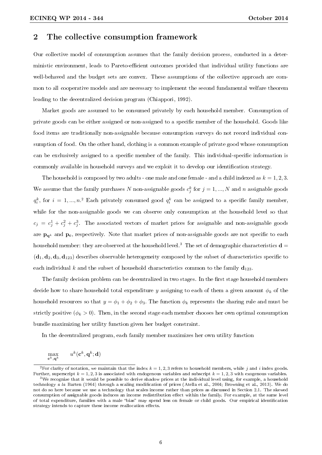### 2 The collective consumption framework

Our collective model of consumption assumes that the family decision process, conducted in a deterministic environment, leads to Pareto-efficient outcomes provided that individual utility functions are well-behaved and the budget sets are convex. These assumptions of the collective approach are common to all cooperative models and are necessary to implement the second fundamental welfare theorem leading to the decentralized decision program (Chiappori, 1992).

Market goods are assumed to be consumed privately by each household member. Consumption of private goods can be either assigned or non-assigned to a specific member of the household. Goods like food items are traditionally non-assignable because consumption surveys do not record individual consumption of food. On the other hand, clothing is a common example of private good whose consumption can be exclusively assigned to a specific member of the family. This individual-specific information is commonly available in household surveys and we exploit it to develop our identification strategy.

The household is composed by two adults - one male and one female - and a child indexed as  $k = 1, 2, 3$ . We assume that the family purchases N non-assignable goods  $c_j^k$  for  $j = 1, ..., N$  and n assignable goods  $q_i^k$ , for  $i = 1, ..., n$ . Each privately consumed good  $q_i^k$  can be assigned to a specific family member, while for the non-assignable goods we can observe only consumption at the household level so that  $c_j = c_j^1 + c_j^2 + c_j^3$ . The associated vectors of market prices for assignable and non-assignable goods are  $\mathbf{p}_{\alpha^k}$  and  $\mathbf{p}_{\alpha}$ , respectively. Note that market prices of non-assignable goods are not specific to each household member: they are observed at the household level.<sup>3</sup> The set of demographic characteristics  $\mathbf{d} =$  $(d_1, d_2, d_3, d_{123})$  describes observable heterogeneity composed by the subset of characteristics specific to each individual k and the subset of household characteristics common to the family  $\mathbf{d}_{123}$ .

The family decision problem can be decentralized in two stages. In the first stage household members decide how to share household total expenditure y assigning to each of them a given amount  $\phi_k$  of the household resources so that  $y = \phi_1 + \phi_2 + \phi_3$ . The function  $\phi_k$  represents the sharing rule and must be strictly positive ( $\phi_k > 0$ ). Then, in the second stage each member chooses her own optimal consumption bundle maximizing her utility function given her budget constraint.

In the decentralized program, each family member maximizes her own utility function

$$
\max_{\mathbf{c}^k,\mathbf{q}^k} \qquad u^k(\mathbf{c}^k,\mathbf{q}^k;\mathbf{d})
$$

<sup>&</sup>lt;sup>2</sup>For clarity of notation, we maintain that the index  $k = 1, 2, 3$  refers to household members, while j and i index goods. Further, superscript  $k = 1, 2, 3$  is associated with endogenous variables and subscript  $k = 1, 2, 3$  with exogenous variables. <sup>3</sup>We recognize that it would be possible to derive shadow prices at the individual level using, for example, a household technology a la Barten (1964) through a scaling modification of prices (Atella et al., 2004; Browning et al., 2013). We do not do so here because we use a technology that scales income rather than prices as discussed in Section 2.1. The skewed

consumption of assignable goods induces an income redistribution effect within the family. For example, at the same level of total expenditure, families with a male "bias" may spend less on female or child goods. Our empirical identification strategy intends to capture these income reallocation effects.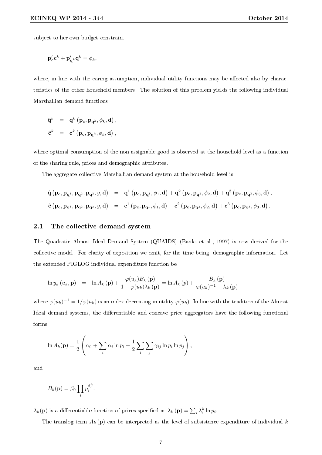subject to her own budget constraint

$$
\mathbf{p_c'}\mathbf{c}^k + \mathbf{p_{q^k}'}\mathbf{q}^k = \phi_k,
$$

where, in line with the caring assumption, individual utility functions may be affected also by characteristics of the other household members. The solution of this problem yields the following individual Marshallian demand functions

$$
\begin{array}{rcl} \hat{\mathbf{q}}^k & = & \mathbf{q}^k \left( \mathbf{p_c}, \mathbf{p_{q^k}}, \phi_k, \mathbf{d} \right), \\[2mm] \hat{\mathbf{c}}^k & = & \mathbf{c}^k \left( \mathbf{p_c}, \mathbf{p_{q^k}}, \phi_k, \mathbf{d} \right), \end{array}
$$

where optimal consumption of the non-assignable good is observed at the household level as a function of the sharing rule, prices and demographic attributes.

The aggregate collective Marshallian demand system at the household level is

$$
\begin{array}{lcl} \hat{\mathbf{q}}\left(\mathbf{p_c}, \mathbf{p_{q^1}}, \mathbf{p_{q^2}}, \mathbf{p_{q^3}}, y, \mathbf{d}\right) & = & \mathbf{q^1}\left(\mathbf{p_c}, \mathbf{p_{q^1}}, \phi_1, \mathbf{d}\right) + \mathbf{q^2}\left(\mathbf{p_c}, \mathbf{p_{q^2}}, \phi_2, \mathbf{d}\right) + \mathbf{q^3}\left(\mathbf{p_c}, \mathbf{p_{q^3}}, \phi_3, \mathbf{d}\right), \\[5pt] \hat{\mathbf{c}}\left(\mathbf{p_c}, \mathbf{p_{q^1}}, \mathbf{p_{q^2}}, \mathbf{p_{q^3}}, y, \mathbf{d}\right) & = & \mathbf{c^1}\left(\mathbf{p_c}, \mathbf{p_{q^1}}, \phi_1, \mathbf{d}\right) + \mathbf{c^2}\left(\mathbf{p_c}, \mathbf{p_{q^2}}, \phi_2, \mathbf{d}\right) + \mathbf{c^3}\left(\mathbf{p_c}, \mathbf{p_{q^3}}, \phi_3, \mathbf{d}\right). \end{array}
$$

#### 2.1 The collective demand system

The Quadratic Almost Ideal Demand System (QUAIDS) (Banks et al., 1997) is now derived for the collective model. For clarity of exposition we omit, for the time being, demographic information. Let the extended PIGLOG individual expenditure function be

$$
\ln y_k(u_k, \mathbf{p}) = \ln A_k(\mathbf{p}) + \frac{\varphi(u_k) B_k(\mathbf{p})}{1 - \varphi(u_k) \lambda_k(\mathbf{p})} = \ln A_k(p) + \frac{B_k(\mathbf{p})}{\varphi(u_k)^{-1} - \lambda_k(\mathbf{p})}
$$

where  $\varphi(u_k)^{-1} = 1/\varphi(u_k)$  is an index decreasing in utility  $\varphi(u_k)$ . In line with the tradition of the Almost Ideal demand systems, the differentiable and concave price aggregators have the following functional forms

$$
\ln A_k(\mathbf{p}) = \frac{1}{2} \left( \alpha_0 + \sum_i \alpha_i \ln p_i + \frac{1}{2} \sum_i \sum_j \gamma_{ij} \ln p_i \ln p_j \right),\,
$$

and

$$
B_k(\mathbf{p}) = \beta_0 \prod_i p_i^{\beta_i^k}.
$$

 $\lambda_k(\mathbf{p})$  is a differentiable function of prices specified as  $\lambda_k(\mathbf{p}) = \sum_i \lambda_i^k \ln p_i$ .

The translog term  $A_k$  (p) can be interpreted as the level of subsistence expenditure of individual k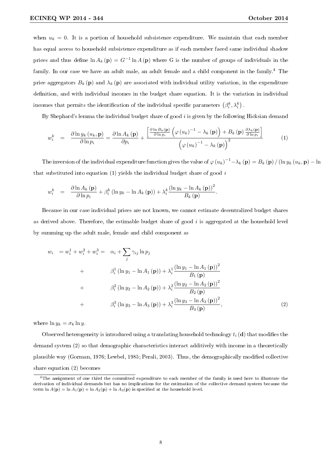when  $u_k = 0$ . It is a portion of household subsistence expenditure. We maintain that each member has equal access to household subsistence expenditure as if each member faced same individual shadow prices and thus define  $\ln A_k$  (p) =  $G^{-1} \ln A$  (p) where G is the number of groups of individuals in the family. In our case we have an adult male, an adult female and a child component in the family.<sup>4</sup> The price aggregators  $B_k(\mathbf{p})$  and  $\lambda_k(\mathbf{p})$  are associated with individual utility variation, in the expenditure definition, and with individual incomes in the budget share equation. It is the variation in individual incomes that permits the identification of the individual specific parameters  $\left(\beta^k_i,\lambda^k_i\right)$  .

By Shephard's lemma the individual budget share of good  $i$  is given by the following Hicksian demand

$$
w_i^k = \frac{\partial \ln y_k(u_k, \mathbf{p})}{\partial \ln p_i} = \frac{\partial \ln A_k(\mathbf{p})}{\partial p_i} + \frac{\left[\frac{\partial \ln B_k(\mathbf{p})}{\partial \ln p_i}\left(\varphi(u_k)^{-1} - \lambda_k(\mathbf{p})\right) + B_k(\mathbf{p})\frac{\partial \lambda_k(\mathbf{p})}{\partial \ln p_i}\right]}{\left(\varphi(u_k)^{-1} - \lambda_k(\mathbf{p})\right)^2}
$$
(1)

The inversion of the individual expenditure function gives the value of  $\varphi(u_k)^{-1} - \lambda_k(p) = B_k(p) / (\ln y_k(u_k, p) - \ln y_k)$ that substituted into equation  $(1)$  yields the individual budget share of good i

$$
w_i^k = \frac{\partial \ln A_k(\mathbf{p})}{\partial \ln p_i} + \beta_i^k (\ln y_k - \ln A_k(\mathbf{p})) + \lambda_i^k \frac{(\ln y_k - \ln A_k(\mathbf{p}))^2}{B_k(\mathbf{p})}.
$$

Because in our case individual prices are not known, we cannot estimate decentralized budget shares as derived above. Therefore, the estimable budget share of good  $i$  is aggregated at the household level by summing up the adult male, female and child component as

$$
w_{i} = w_{i}^{1} + w_{i}^{2} + w_{i}^{3} = \alpha_{i} + \sum_{j} \gamma_{ij} \ln p_{j}
$$
  
+  $\beta_{i}^{1} (\ln y_{1} - \ln A_{1} (\mathbf{p})) + \lambda_{i}^{1} \frac{(\ln y_{1} - \ln A_{1} (\mathbf{p}))^{2}}{B_{1} (\mathbf{p})}$   
+  $\beta_{i}^{2} (\ln y_{2} - \ln A_{2} (\mathbf{p})) + \lambda_{i}^{2} \frac{(\ln y_{2} - \ln A_{2} (\mathbf{p}))^{2}}{B_{2} (\mathbf{p})}$   
+  $\beta_{i}^{3} (\ln y_{3} - \ln A_{3} (\mathbf{p})) + \lambda_{i}^{3} \frac{(\ln y_{3} - \ln A_{3} (\mathbf{p}))^{2}}{B_{3} (\mathbf{p})},$  (2)

where  $\ln y_k = \sigma_k \ln y$ .

Observed heterogeneity is introduced using a translating household technology  $t_i$  (d) that modifies the demand system (2) so that demographic characteristics interact additively with income in a theoretically plausible way (Gorman, 1976; Lewbel, 1985; Perali, 2003). Thus, the demographically modified collective share equation (2) becomes

<sup>4</sup>The assignment of one third the committed expenditure to each member of the family is used here to illustrate the derivation of individual demands but has no implications for the estimation of the collective demand system because the term  $\ln A(\mathbf{p}) = \ln A_1(\mathbf{p}) + \ln A_2(\mathbf{p}) + \ln A_3(\mathbf{p})$  is specified at the household level.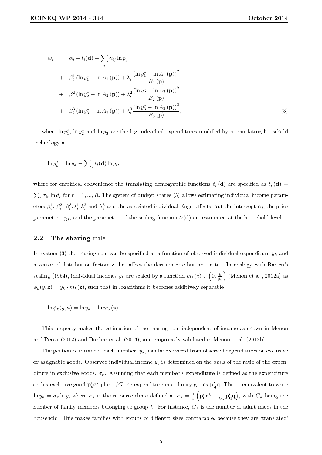$$
w_{i} = \alpha_{i} + t_{i}(\mathbf{d}) + \sum_{j} \gamma_{ij} \ln p_{j}
$$
  
+  $\beta_{i}^{1} (\ln y_{1}^{*} - \ln A_{1} (\mathbf{p})) + \lambda_{i}^{1} \frac{(\ln y_{1}^{*} - \ln A_{1} (\mathbf{p}))^{2}}{B_{1} (\mathbf{p})}$   
+  $\beta_{i}^{2} (\ln y_{2}^{*} - \ln A_{2} (\mathbf{p})) + \lambda_{i}^{2} \frac{(\ln y_{2}^{*} - \ln A_{2} (\mathbf{p}))^{2}}{B_{2} (\mathbf{p})}$   
+  $\beta_{i}^{3} (\ln y_{3}^{*} - \ln A_{3} (\mathbf{p})) + \lambda_{i}^{3} \frac{(\ln y_{3}^{*} - \ln A_{3} (\mathbf{p}))^{2}}{B_{3} (\mathbf{p})},$  (3)

where  $\ln y_1^*$ ,  $\ln y_2^*$  and  $\ln y_3^*$  are the log individual expenditures modified by a translating household technology as

$$
\ln y_k^* = \ln y_k - \sum_i t_i(\mathbf{d}) \ln p_i,
$$

where for empirical convenience the translating demographic functions  $t_i (\mathbf{d})$  are specified as  $t_i (\mathbf{d}) =$  $\sum_{r} \tau_{ir} \ln d_r$  for  $r = 1, ..., R$ . The system of budget shares (3) allows estimating individual income parameters  $\beta_i^1$ ,  $\beta_i^2$ ,  $\beta_i^3$ ,  $\lambda_i^1$ ,  $\lambda_i^2$  and  $\lambda_i^3$  and the associated individual Engel effects, but the intercept  $\alpha_i$ , the price parameters  $\gamma_{ji}$ , and the parameters of the scaling function  $t_i(\mathbf{d})$  are estimated at the household level.

#### 2.2 The sharing rule

In system (3) the sharing rule can be specified as a function of observed individual expenditure  $y_k$  and a vector of distribution factors **z** that affect the decision rule but not tastes. In analogy with Barten's scaling (1964), individual incomes  $y_k$  are scaled by a function  $m_k(z) \in \left(0, \frac{y_k}{y_0}\right)$ y<sup>k</sup> (Menon et al., 2012a) as  $\phi_k(y, \mathbf{z}) = y_k \cdot m_k(\mathbf{z})$ , such that in logarithms it becomes additively separable

 $\ln \phi_k(y, \mathbf{z}) = \ln y_k + \ln m_k(\mathbf{z}).$ 

This property makes the estimation of the sharing rule independent of income as shown in Menon and Perali (2012) and Dunbar et al. (2013), and empirically validated in Menon et al. (2012b).

The portion of income of each member,  $y_k$ , can be recovered from observed expenditures on exclusive or assignable goods. Observed individual income  $y_k$  is determined on the basis of the ratio of the expenditure in exclusive goods,  $\sigma_k$ . Assuming that each member's expenditure is defined as the expenditure on his exclusive good  ${\bf p_c'}{\bf c}^k$  plus  $1/G$  the expenditure in ordinary goods  ${\bf p_q'}$ q. This is equivalent to write  $\ln y_k = \sigma_k \ln y$ , where  $\sigma_k$  is the resource share defined as  $\sigma_k = \frac{1}{y}$  $\left(\mathbf{p_c'}\mathbf{c}^k + \frac{1}{G_k}\mathbf{p_q'}\mathbf{q}\right)$ , with  $G_k$  being the number of family members belonging to group  $k$ . For instance,  $G_1$  is the number of adult males in the household. This makes families with groups of different sizes comparable, because they are 'translated'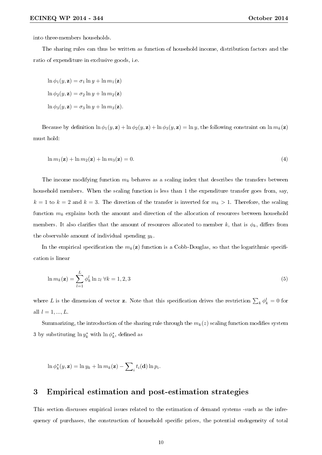into three-members households.

The sharing rules can thus be written as function of household income, distribution factors and the ratio of expenditure in exclusive goods, i.e.

 $\ln \phi_1(y, \mathbf{z}) = \sigma_1 \ln y + \ln m_1(\mathbf{z})$  $\ln \phi_2(y, \mathbf{z}) = \sigma_2 \ln y + \ln m_2(\mathbf{z})$  $\ln \phi_3(y, \mathbf{z}) = \sigma_3 \ln y + \ln m_3(\mathbf{z}).$ 

Because by definition  $\ln \phi_1(y, \mathbf{z}) + \ln \phi_2(y, \mathbf{z}) + \ln \phi_3(y, \mathbf{z}) = \ln y$ , the following constraint on  $\ln m_k(\mathbf{z})$ must hold:

$$
\ln m_1(\mathbf{z}) + \ln m_2(\mathbf{z}) + \ln m_3(\mathbf{z}) = 0. \tag{4}
$$

The income modifying function  $m_k$  behaves as a scaling index that describes the transfers between household members. When the scaling function is less than 1 the expenditure transfer goes from, say,  $k = 1$  to  $k = 2$  and  $k = 3$ . The direction of the transfer is inverted for  $m_k > 1$ . Therefore, the scaling function  $m_k$  explains both the amount and direction of the allocation of resources between household members. It also clarifies that the amount of resources allocated to member k, that is  $\phi_k$ , differs from the observable amount of individual spending  $y_k$ .

In the empirical specification the  $m_k(z)$  function is a Cobb-Douglas, so that the logarithmic specification is linear

$$
\ln m_k(\mathbf{z}) = \sum_{l=1}^L \phi_k^l \ln z_l \,\forall k = 1, 2, 3 \tag{5}
$$

where L is the dimension of vector **z**. Note that this specification drives the restriction  $\sum_k \phi_k^l = 0$  for all  $l = 1, ..., L$ .

Summarizing, the introduction of the sharing rule through the  $m_k(z)$  scaling function modifies system 3 by substituting  $\ln y_k^*$  with  $\ln \phi_k^*$ , defined as

 $\ln \phi_k^*(y, \mathbf{z}) = \ln y_k + \ln m_k(\mathbf{z}) - \sum$  $_i t_i(\mathbf{d}) \ln p_i.$ 

## 3 Empirical estimation and post-estimation strategies

This section discusses empirical issues related to the estimation of demand systems -such as the infrequency of purchases, the construction of household specific prices, the potential endogeneity of total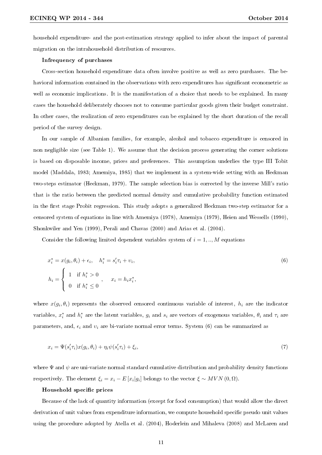household expenditure- and the post-estimation strategy applied to infer about the impact of parental migration on the intrahousehold distribution of resources.

#### Infrequency of purchases

Cross-section household expenditure data often involve positive as well as zero purchases. The behavioral information contained in the observations with zero expenditures has significant econometric as well as economic implications. It is the manifestation of a choice that needs to be explained. In many cases the household deliberately chooses not to consume particular goods given their budget constraint. In other cases, the realization of zero expenditures can be explained by the short duration of the recall period of the survey design.

In our sample of Albanian families, for example, alcohol and tobacco expenditure is censored in non negligible size (see Table 1). We assume that the decision process generating the corner solutions is based on disposable income, prices and preferences. This assumption underlies the type III Tobit model (Maddala, 1983; Amemiya, 1985) that we implement in a system-wide setting with an Heckman two-steps estimator (Heckman, 1979). The sample selection bias is corrected by the inverse Mill's ratio that is the ratio between the predicted normal density and cumulative probability function estimated in the first stage Probit regression. This study adopts a generalized Heckman two-step estimator for a censored system of equations in line with Amemiya (1978), Amemiya (1979), Heien and Wessells (1990), Shonkwiler and Yen (1999), Perali and Chavas (2000) and Arias et al. (2004).

Consider the following limited dependent variables system of  $i = 1, \dots, M$  equations

$$
x_i^* = x(g_i, \theta_i) + \epsilon_i, \quad h_i^* = s_i' \tau_i + \nu_i,
$$
  
\n
$$
h_i = \begin{cases} 1 & \text{if } h_i^* > 0 \\ 0 & \text{if } h_i^* \le 0 \end{cases}, \quad x_i = h_i x_i^*,
$$
\n(6)

where  $x(g_i, \theta_i)$  represents the observed censored continuous variable of interest,  $h_i$  are the indicator variables,  $x_i^*$  and  $h_i^*$  are the latent variables,  $g_i$  and  $s_i$  are vectors of exogenous variables,  $\theta_i$  and  $\tau_i$  are parameters, and,  $\epsilon_i$  and  $v_i$  are bi-variate normal error terms. System (6) can be summarized as

$$
x_i = \Psi(s_i' \tau_i) x(g_i, \theta_i) + \eta_i \psi(s_i' \tau_i) + \xi_i,
$$
\n<sup>(7)</sup>

where  $\Psi$  and  $\psi$  are uni-variate normal standard cumulative distribution and probability density functions respectively. The element  $\xi_i = x_i - E[x_i|g_i]$  belongs to the vector  $\xi \sim MVN(0, \Omega)$ .

#### Household specific prices

Because of the lack of quantity information (except for food consumption) that would allow the direct derivation of unit values from expenditure information, we compute household specific pseudo unit values using the procedure adopted by Atella et al. (2004), Hoderlein and Mihaleva (2008) and McLaren and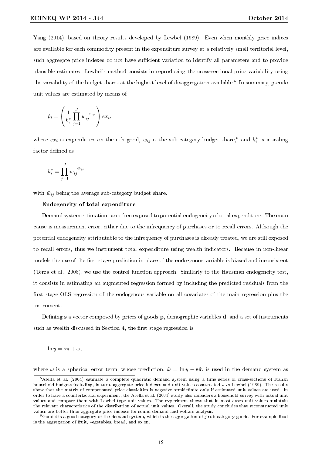Yang (2014), based on theory results developed by Lewbel (1989). Even when monthly price indices are available for each commodity present in the expenditure survey at a relatively small territorial level, such aggregate price indexes do not have sufficient variation to identify all parameters and to provide plausible estimates. Lewbel's method consists in reproducing the cross-sectional price variability using the variability of the budget shares at the highest level of disaggregation available. $^5\,$  In summary, pseudo unit values are estimated by means of

$$
\hat{p}_i = \left(\frac{1}{k_i^*} \prod_{j=1}^J w_{ij}^{-w_{ij}}\right) ex_i,
$$

where  $ex_i$  is expenditure on the i-th good,  $w_{ij}$  is the sub-category budget share,<sup>6</sup> and  $k_i^*$  is a scaling factor defined as

$$
k_i^* = \prod_{j=1}^J \bar{w}_{ij}^{-\bar{w}_{ij}}
$$

with  $\bar{w}_{ij}$  being the average sub-category budget share.

#### Endogeneity of total expenditure

Demand system estimations are often exposed to potential endogeneity of total expenditure. The main cause is measurement error, either due to the infrequency of purchases or to recall errors. Although the potential endogeneity attributable to the infrequency of purchases is already treated, we are still exposed to recall errors, thus we instrument total expenditure using wealth indicators. Because in non-linear models the use of the first stage prediction in place of the endogenous variable is biased and inconsistent (Terza et al., 2008), we use the control function approach. Similarly to the Hausman endogeneity test, it consists in estimating an augmented regression formed by including the predicted residuals from the first stage OLS regression of the endogenous variable on all covariates of the main regression plus the instruments.

Defining  $s$  a vector composed by prices of goods  $p$ , demographic variables  $d$ , and a set of instruments such as wealth discussed in Section 4, the first stage regression is

 $\ln u = s\pi + \omega,$ 

where  $\omega$  is a spherical error term, whose prediction,  $\hat{\omega} = \ln y - s\hat{\pi}$ , is used in the demand system as

 $5$ Atella et al. (2004) estimate a complete quadratic demand system using a time series of cross-sections of Italian household budgets including, in turn, aggregate price indexes and unit values constructed a la Lewbel (1989). The results show that the matrix of compensated price elasticities is negative semidenite only if estimated unit values are used. In order to have a counterfactual experiment, the Atella et al. (2004) study also considers a household survey with actual unit values and compare them with Lewbel-type unit values. The experiment shows that in most cases unit values maintain the relevant characteristics of the distribution of actual unit values. Overall, the study concludes that reconstructed unit values are better than aggregate price indexes for sound demand and welfare analysis.

 ${}^6G$ ood *i* is a good category of the demand system, which is the aggregation of j sub-category goods. For example food is the aggregation of fruit, vegetables, bread, and so on.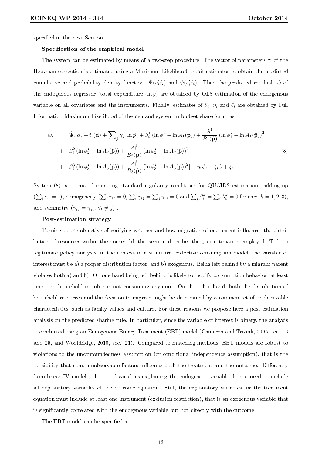specified in the next Section.

#### Specification of the empirical model

The system can be estimated by means of a two-step procedure. The vector of parameters  $\tau_i$  of the Heckman correction is estimated using a Maximum Likelihood probit estimator to obtain the predicted cumulative and probability density functions  $\hat{\Psi}(s'_i\hat{\tau}_i)$  and  $\hat{\psi}(s'_i\hat{\tau}_i)$ . Then the predicted residuals  $\hat{\omega}$  of the endogenous regressor (total expenditure,  $\ln y$ ) are obtained by OLS estimation of the endogenous variable on all covariates and the instruments. Finally, estimates of  $\theta_i$ ,  $\eta_i$  and  $\zeta_i$  are obtained by Full Information Maximum Likelihood of the demand system in budget share form, as

$$
w_i = \hat{\Psi}_i[\alpha_i + t_i(\mathbf{d}) + \sum_j \gamma_{ji} \ln \hat{p}_j + \beta_i^1 (\ln \phi_1^* - \ln A_1(\hat{\mathbf{p}})) + \frac{\lambda_i^1}{B_1(\hat{\mathbf{p}})} (\ln \phi_1^* - \ln A_1(\hat{\mathbf{p}}))^2
$$
  
+ 
$$
\beta_i^2 (\ln \phi_2^* - \ln A_2(\hat{\mathbf{p}})) + \frac{\lambda_i^2}{B_2(\hat{\mathbf{p}})} (\ln \phi_2^* - \ln A_2(\hat{\mathbf{p}}))^2
$$
  
+ 
$$
\beta_i^3 (\ln \phi_3^* - \ln A_3(\hat{\mathbf{p}})) + \frac{\lambda_i^3}{B_3(\hat{\mathbf{p}})} (\ln \phi_3^* - \ln A_3(\hat{\mathbf{p}}))^2 + \eta_i \hat{\psi}_i + \zeta_i \hat{\omega} + \xi_i.
$$
 (8)

System (8) is estimated imposing standard regularity conditions for QUAIDS estimation: adding-up  $(\sum_i \alpha_i = 1)$ , homogeneity  $(\sum_i \tau_{ir} = 0, \sum_i \gamma_{ij} = \sum_j \gamma_{ij} = 0$  and  $\sum_i \beta_i^k = \sum_i \lambda_i^k = 0$  for each  $k = 1, 2, 3$ ), and symmetry  $(\gamma_{ij} = \gamma_{ji}, \forall i \neq j)$ .

#### Post-estimation strategy

Turning to the objective of verifying whether and how migration of one parent influences the distribution of resources within the household, this section describes the post-estimation employed. To be a legitimate policy analysis, in the context of a structural collective consumption model, the variable of interest must be a) a proper distribution factor, and b) exogenous. Being left behind by a migrant parent violates both a) and b). On one hand being left behind is likely to modify consumption behavior, at least since one household member is not consuming anymore. On the other hand, both the distribution of household resources and the decision to migrate might be determined by a common set of unobservable characteristics, such as family values and culture. For these reasons we propose here a post-estimation analysis on the predicted sharing rule. In particular, since the variable of interest is binary, the analysis is conducted using an Endogenous Binary Treatment (EBT) model (Cameron and Trivedi, 2005, sec. 16 and 25, and Wooldridge, 2010, sec. 21). Compared to matching methods, EBT models are robust to violations to the unconfoundedness assumption (or conditional independence assumption), that is the possibility that some unobservable factors influence both the treatment and the outcome. Differently from linear IV models, the set of variables explaining the endogenous variable do not need to include all explanatory variables of the outcome equation. Still, the explanatory variables for the treatment equation must include at least one instrument (exclusion restriction), that is an exogenous variable that is significantly correlated with the endogenous variable but not directly with the outcome.

The EBT model can be specified as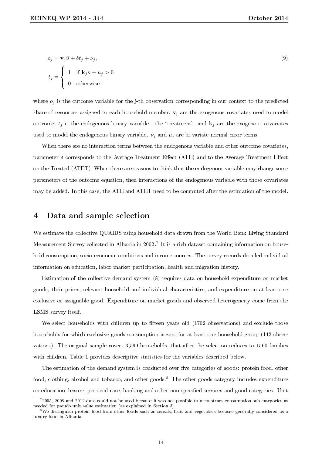$t_j =$ 

 $\overline{a}$ 

0 otherwise

$$
o_j = \mathbf{v}_j \vartheta + \delta t_j + \nu_j,
$$
  

$$
f = \int 1 \quad \text{if } \mathbf{k}_j \kappa + \mu_j > 0
$$
 (9)

where  $o_j$  is the outcome variable for the j-th observation corresponding in our context to the predicted share of resources assigned to each household member,  $\mathbf{v}_j$  are the exogenous covariates used to model outcome,  $t_j$  is the endogenous binary variable - the "treatment"- and  $\mathbf{k}_j$  are the exogenous covariates used to model the endogenous binary variable.  $\nu_j$  and  $\mu_j$  are bi-variate normal error terms.

When there are no interaction terms between the endogenous variable and other outcome covariates, parameter  $\delta$  corresponds to the Average Treatment Effect (ATE) and to the Average Treatment Effect on the Treated (ATET). When there are reasons to think that the endogenous variable may change some parameters of the outcome equation, then interactions of the endogenous variable with those covariates may be added. In this case, the ATE and ATET need to be computed after the estimation of the model.

### 4 Data and sample selection

We estimate the collective QUAIDS using household data drawn from the World Bank Living Standard Measurement Survey collected in Albania in 2002.<sup>7</sup> It is a rich dataset containing information on household consumption, socio-economic conditions and income sources. The survey records detailed individual information on education, labor market participation, health and migration history.

Estimation of the collective demand system (8) requires data on household expenditure on market goods, their prices, relevant household and individual characteristics, and expenditure on at least one exclusive or assignable good. Expenditure on market goods and observed heterogeneity come from the LSMS survey itself.

We select households with children up to fifteen years old  $(1702)$  observations) and exclude those households for which exclusive goods consumption is zero for at least one household group (142 observations). The original sample covers 3,599 households, that after the selection reduces to 1560 families with children. Table 1 provides descriptive statistics for the variables described below.

The estimation of the demand system is conducted over five categories of goods: protein food, other food, clothing, alcohol and tobacco, and other goods.<sup>8</sup> The other goods category includes expenditure on education, leisure, personal care, banking and other non specified services and good categories. Unit

<sup>7</sup>2005, 2008 and 2012 data could not be used because it was not possible to reconstruct consumption sub-categories as needed for pseudo unit value estimation (as explained in Section 3).

<sup>8</sup>We distinguish protein food from other foods such as cereals, fruit and vegetables because generally considered as a luxury food in Albania.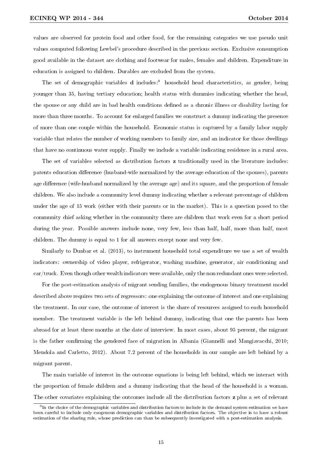values are observed for protein food and other food, for the remaining categories we use pseudo unit values computed following Lewbel's procedure described in the previous section. Exclusive consumption good available in the dataset are clothing and footwear for males, females and children. Expenditure in education is assigned to children. Durables are excluded from the system.

The set of demographic variables  $d$  includes:<sup>9</sup> household head characteristics, as gender, being younger than 35, having tertiary education; health status with dummies indicating whether the head, the spouse or any child are in bad health conditions defined as a chronic illness or disability lasting for more than three months. To account for enlarged families we construct a dummy indicating the presence of more than one couple within the household. Economic status is captured by a family labor supply variable that relates the number of working members to family size, and an indicator for those dwellings that have no continuous water supply. Finally we include a variable indicating residence in a rural area.

The set of variables selected as distribution factors z traditionally used in the literature includes: patents education difference (husband-wife normalized by the average education of the spouses), parents age difference (wife-husband normalized by the average age) and its square, and the proportion of female children. We also include a community level dummy indicating whether a relevant percentage of children under the age of 15 work (either with their parents or in the market). This is a question posed to the community chief asking whether in the community there are children that work even for a short period during the year. Possible answers include none, very few, less than half, half, more than half, most children. The dummy is equal to 1 for all answers except none and very few.

Similarly to Dunbar et al. (2013), to instrument household total expenditure we use a set of wealth indicators: ownership of video player, refrigerator, washing machine, generator, air conditioning and car/truck. Even though other wealth indicators were available, only the non redundant ones were selected.

For the post-estimation analysis of migrant sending families, the endogenous binary treatment model described above requires two sets of regressors: one explaining the outcome of interest and one explaining the treatment. In our case, the outcome of interest is the share of resources assigned to each household member. The treatment variable is the left behind dummy, indicating that one the parents has been abroad for at least three months at the date of interview. In most cases, about 95 percent, the migrant is the father confirming the gendered face of migration in Albania (Giannelli and Mangiavacchi, 2010; Mendola and Carletto, 2012). About 7.2 percent of the households in our sample are left behind by a migrant parent.

The main variable of interest in the outcome equations is being left behind, which we interact with the proportion of female children and a dummy indicating that the head of the household is a woman. The other covariates explaining the outcomes include all the distribution factors **z** plus a set of relevant

 $^9$ In the choice of the demographic variables and distribution factors to include in the demand system estimation we have been careful to include only exogenous demographic variables and distribution factors. The objective is to have a robust estimation of the sharing rule, whose prediction can than be subsequently investigated with a post-estimation analysis.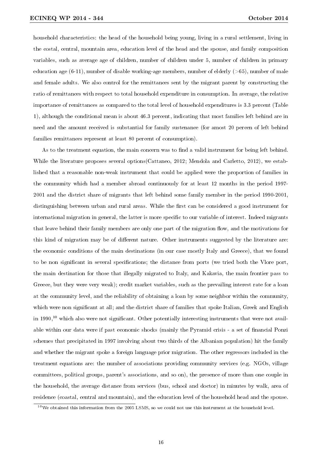household characteristics: the head of the household being young, living in a rural settlement, living in the costal, central, mountain area, education level of the head and the spouse, and family composition variables, such as average age of children, number of children under 5, number of children in primary education age  $(6-11)$ , number of disable working-age members, number of elderly  $(>65)$ , number of male and female adults. We also control for the remittances sent by the migrant parent by constructing the ratio of remittances with respect to total household expenditure in consumption. In average, the relative importance of remittances as compared to the total level of household expenditures is 3.3 percent (Table 1), although the conditional mean is about 46.3 percent, indicating that most families left behind are in need and the amount received is substantial for family sustenance (for amost 20 percen of left behind families remittances represent at least 80 percent of consumption).

As to the treatment equation, the main concern was to find a valid instrument for being left behind. While the literature proposes several options (Cattaneo, 2012; Mendola and Carletto, 2012), we established that a reasonable non-weak instrument that could be applied were the proportion of families in the community which had a member abroad continuously for at least 12 months in the period 1997- 2001 and the district share of migrants that left behind some family member in the period 1990-2001, distinguishing between urban and rural areas. While the first can be considered a good instrument for international migration in general, the latter is more specific to our variable of interest. Indeed migrants that leave behind their family members are only one part of the migration flow, and the motivations for this kind of migration may be of different nature. Other instruments suggested by the literature are: the economic conditions of the main destinations (in our case mostly Italy and Greece), that we found to be non significant in several specifications; the distance from ports (we tried both the Vlore port, the main destination for those that illegally migrated to Italy, and Kakavia, the main frontier pass to Greece, but they were very weak); credit market variables, such as the prevailing interest rate for a loan at the community level, and the reliability of obtaining a loan by some neighbor within the community, which were non significant at all; and the district share of families that spoke Italian, Greek and English in  $1990<sup>10</sup>$  which also were not significant. Other potentially interesting instruments that were not available within our data were if past economic shocks (mainly the Pyramid crisis - a set of nancial Ponzi schemes that precipitated in 1997 involving about two thirds of the Albanian population) hit the family and whether the migrant spoke a foreign language prior migration. The other regressors included in the treatment equations are: the number of associations providing community services (e.g. NGOs, village committees, political groups, parent's associations, and so on), the presence of more than one couple in the household, the average distance from services (bus, school and doctor) in minutes by walk, area of residence (coastal, central and mountain), and the education level of the household head and the spouse.

 $10$ We obtained this information from the 2005 LSMS, so we could not use this instrument at the household level.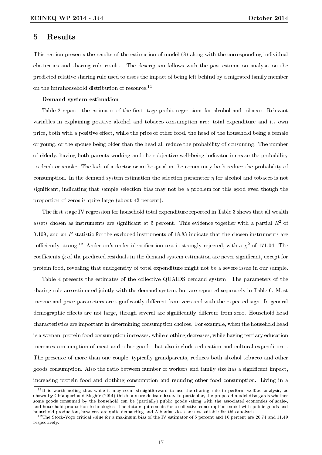### 5 Results

This section presents the results of the estimation of model (8) along with the corresponding individual elasticities and sharing rule results. The description follows with the post-estimation analysis on the predicted relative sharing rule used to asses the impact of being left behind by a migrated family member on the intrahousehold distribution of resource.<sup>11</sup>

#### Demand system estimation

Table 2 reports the estimates of the first stage probit regressions for alcohol and tobacco. Relevant variables in explaining positive alcohol and tobacco consumption are: total expenditure and its own price, both with a positive effect, while the price of other food, the head of the household being a female or young, or the spouse being older than the head all reduce the probability of consuming. The number of elderly, having both parents working and the subjective well-being indicator increase the probability to drink or smoke. The lack of a doctor or an hospital in the community both reduce the probability of consumption. In the demand system estimation the selection parameter  $\eta$  for alcohol and tobacco is not significant, indicating that sample selection bias may not be a problem for this good even though the proportion of zeros is quite large (about 42 percent).

The first stage IV regression for household total expenditure reported in Table 3 shows that all wealth assets chosen as instruments are significant at 5 percent. This evidence together with a partial  $R^2$  of 0.109, and an F statistic for the excluded instruments of 18.83 indicate that the chosen instruments are sufficiently strong.<sup>12</sup> Anderson's under-identification test is strongly rejected, with a  $\chi^2$  of 171.04. The coefficients  $\zeta_i$  of the predicted residuals in the demand system estimation are never significant, except for protein food, revealing that endogeneity of total expenditure might not be a severe issue in our sample.

Table 4 presents the estimates of the collective QUAIDS demand system. The parameters of the sharing rule are estimated jointly with the demand system, but are reported separately in Table 6. Most income and price parameters are significantly different from zero and with the expected sign. In general demographic effects are not large, though several are significantly different from zero. Household head characteristics are important in determining consumption choices. For example, when the household head is a woman, protein food consumption increases, while clothing decreases, while having tertiary education increases consumption of meat and other goods that also includes education and cultural expenditures. The presence of more than one couple, typically grandparents, reduces both alcohol-tobacco and other goods consumption. Also the ratio between number of workers and family size has a signicant impact, increasing protein food and clothing consumption and reducing other food consumption. Living in a

 $\overline{11}$ It is worth noting that while it may seem straightforward to use the sharing rule to perform welfare analysis, as shown by Chiappori and Meghir (2014) this is a more delicate issue. In particular, the proposed model disregards whether some goods consumed by the household can be (partially) public goods -along with the associated economies of scaleand household production technologies. The data requirements for a collective consumption model with public goods and household production, however, are quite demanding and Albanian data are not suitable for this analysis.

<sup>&</sup>lt;sup>12</sup>The Stock-Yogo critical value for a maximum bias of the IV estimator of 5 percent and 10 percent are 20.74 and 11.49 respectively.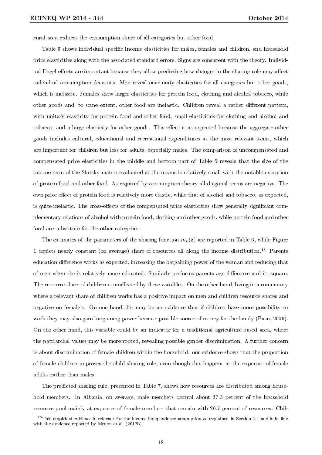rural area reduces the consumption share of all categories but other food.

Table 5 shows individual specific income elasticities for males, females and children, and household price elasticities along with the associated standard errors. Signs are consistent with the theory. Individual Engel effects are important because they allow predicting how changes in the sharing rule may affect individual consumption decisions. Men reveal near unity elasticities for all categories but other goods, which is inelastic. Females show larger elasticities for protein food, clothing and alcohol-tobacco, while other goods and, to some extent, other food are inelastic. Children reveal a rather different pattern, with unitary elasticity for protein food and other food, small elasticities for clothing and alcohol and tobacco, and a large elasticity for other goods. This effect is as expected because the aggregate other goods includes cultural, educational and recreational expenditures as the most relevant items, which are important for children but less for adults, especially males. The comparison of uncompensated and compensated price elasticities in the middle and bottom part of Table 5 reveals that the size of the income term of the Slutsky matrix evaluated at the means is relatively small with the notable exception of protein food and other food. As required by consumption theory all diagonal terms are negative. The own price effect of protein food is relatively more elastic, while that of alcohol and tobacco, as expected. is quite inelastic. The cross-effects of the compensated price elasticities show generally significant complementary relations of alcohol with protein food, clothing and other goods, while protein food and other food are substitute for the other categories.

The estimates of the parameters of the sharing function  $m_k(z)$  are reported in Table 6, while Figure 1 depicts nearly constant (on average) share of resources all along the income distribution.<sup>13</sup> Parents education difference works as expected, increasing the bargaining power of the woman and reducing that of men when she is relatively more educated. Similarly performs parents age dierence and its square. The resource share of children is unaffected by these variables. On the other hand, living in a community where a relevant share of children works has a positive impact on men and children resource shares and negative on female's. On one hand this may be an evidence that if children have more possibility to work they may also gain bargaining power because possible source of money for the family (Basu, 2006). On the other hand, this variable could be an indicator for a traditional agriculture-based area, where the patriarchal values may be more rooted, revealing possible gender discrimination. A further concern is about discrimination of female children within the household: our evidence shows that the proportion of female children improves the child sharing rule, even though this happens at the expenses of female adults rather than males.

The predicted sharing rule, presented in Table 7, shows how resources are distributed among household members. In Albania, on average, male members control about 37.3 percent of the household resource pool mainly at expenses of female members that remain with 26.7 percent of resources. Chil-

 $13$ This empirical evidence is relevant for the income independence assumption as explained in Section 2.1 and is in line with the evidence reported by Menon et al. (2012b).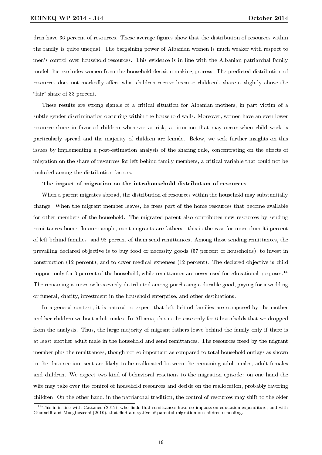dren have 36 percent of resources. These average figures show that the distribution of resources within the family is quite unequal. The bargaining power of Albanian women is much weaker with respect to men's control over household resources. This evidence is in line with the Albanian patriarchal family model that excludes women from the household decision making process. The predicted distribution of resources does not markedly affect what children receive because children's share is slightly above the "fair" share of 33 percent.

These results are strong signals of a critical situation for Albanian mothers, in part victim of a subtle gender discrimination occurring within the household walls. Moreover, women have an even lower resource share in favor of children whenever at risk, a situation that may occur when child work is particularly spread and the majority of children are female. Below, we seek further insights on this issues by implementing a post-estimation analysis of the sharing rule, concentrating on the effects of migration on the share of resources for left behind family members, a critical variable that could not be included among the distribution factors.

#### The impact of migration on the intrahousehold distribution of resources

When a parent migrates abroad, the distribution of resources within the household may substantially change. When the migrant member leaves, he frees part of the home resources that become available for other members of the household. The migrated parent also contributes new resources by sending remittances home. In our sample, most migrants are fathers - this is the case for more than 95 percent of left behind families- and 98 percent of them send remittances. Among those sending remittances, the prevailing declared objective is to buy food or necessity goods (57 percent of households), to invest in construction (12 percent), and to cover medical expenses (12 percent). The declared objective is child support only for 3 percent of the household, while remittances are never used for educational purposes.<sup>14</sup> The remaining is more or less evenly distributed among purchasing a durable good, paying for a wedding or funeral, charity, investment in the household enterprise, and other destinations.

In a general context, it is natural to expect that left behind families are composed by the mother and her children without adult males. In Albania, this is the case only for 6 households that we dropped from the analysis. Thus, the large majority of migrant fathers leave behind the family only if there is at least another adult male in the household and send remittances. The resources freed by the migrant member plus the remittances, though not so important as compared to total household outlays as shown in the data section, sent are likely to be reallocated between the remaining adult males, adult females and children. We expect two kind of behavioral reactions to the migration episode: on one hand the wife may take over the control of household resources and decide on the reallocation, probably favoring children. On the other hand, in the patriarchal tradition, the control of resources may shift to the older

 $14$ This is in line with Cattaneo (2012), who finds that remittances have no impacts on education expenditure, and with Giannelli and Mangiavacchi (2010), that find a negative of parental migration on children schooling.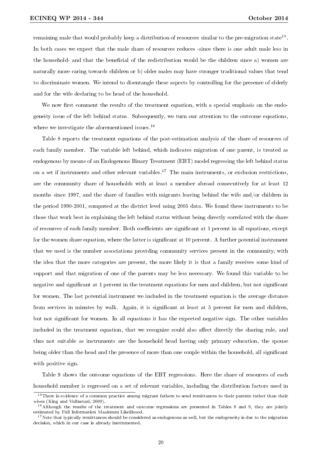remaining male that would probably keep a distribution of resources similar to the pre-migration state<sup>15</sup>. In both cases we expect that the male share of resources reduces -since there is one adult male less in the household- and that the beneficial of the redistribution would be the children since a) women are naturally more caring towards children or b) older males may have stronger traditional values that tend to discriminate women. We intend to disentangle these aspects by controlling for the presence of elderly and for the wife declaring to be head of the household.

We now first comment the results of the treatment equation, with a special emphasis on the endogeneity issue of the left behind status. Subsequently, we turn our attention to the outcome equations, where we investigate the aforementioned issues.<sup>16</sup>

Table 8 reports the treatment equations of the post-estimation analysis of the share of resources of each family member. The variable left behind, which indicates migration of one parent, is treated as endogenous by means of an Endogenous Binary Treatment (EBT) model regressing the left behind status on a set if instruments and other relevant variables.<sup>17</sup> The main instruments, or exclusion restrictions, are the community share of households with at least a member abroad consecutively for at least 12 months since 1997, and the share of families with migrants leaving behind the wife and/or children in the period 1990-2001, computed at the district level using 2005 data. We found these instruments to be those that work best in explaining the left behind status without being directly correlated with the share of resources of each family member. Both coefficients are significant at 1 percent in all equations, except for the women share equation, where the latter is significant at 10 percent. A further potential instrument that we used is the number associations providing community services present in the community, with the idea that the more categories are present, the more likely it is that a family receives some kind of support and that migration of one of the parents may be less necessary. We found this variable to be negative and significant at 1 percent in the treatment equations for men and children, but not significant for women. The last potential instrument we included in the treatment equation is the average distance from services in minutes by walk. Again, it is significant at least at 5 percent for men and children, but not signicant for women. In all equations it has the expected negative sign. The other variables included in the treatment equation, that we recognize could also affect directly the sharing rule, and thus not suitable as instruments are the household head having only primary education, the spouse being older than the head and the presence of more than one couple within the household, all signicant with positive sign.

Table 9 shows the outcome equations of the EBT regressions. Here the share of resources of each household member is regressed on a set of relevant variables, including the distribution factors used in

<sup>&</sup>lt;sup>15</sup>There is evidence of a common practice among migrant fathers to send remittances to their parents rather than their wives (King and Vullnetari, 2009).

<sup>&</sup>lt;sup>16</sup>Although the results of the treatment and outcome regressions are presented in Tables 8 and 9, they are jointly estimated by Full Information Maximum Likelihood.

 $17$ Note that typically remittances should be considered as endogenous as well, but the endogeneity is due to the migration decision, which in our case is already instrumented.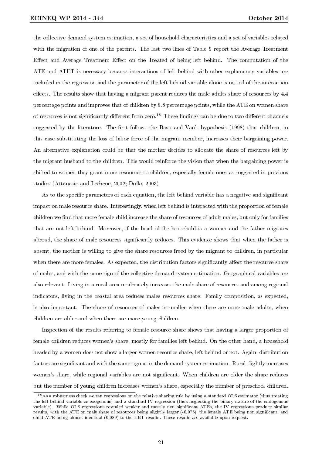the collective demand system estimation, a set of household characteristics and a set of variables related with the migration of one of the parents. The last two lines of Table 9 report the Average Treatment Effect and Average Treatment Effect on the Treated of being left behind. The computation of the ATE and ATET is necessary because interactions of left behind with other explanatory variables are included in the regression and the parameter of the left behind variable alone is netted of the interaction effects. The results show that having a migrant parent reduces the male adults share of resources by  $4.4$ percentage points and improves that of children by 8.8 percentage points, while the ATE on women share of resources is not significantly different from zero.<sup>18</sup> These findings can be due to two different channels suggested by the literature. The first follows the Basu and Van's hypothesis (1998) that children, in this case substituting the loss of labor force of the migrant member, increases their bargaining power. An alternative explanation could be that the mother decides to allocate the share of resources left by the migrant husband to the children. This would reinforce the vision that when the bargaining power is shifted to women they grant more resources to children, especially female ones as suggested in previous studies (Attanasio and Lechene, 2002; Duflo, 2003).

As to the specific parameters of each equation, the left behind variable has a negative and significant impact on male resource share. Interestingly, when left behind is interacted with the proportion of female children we find that more female child increase the share of resources of adult males, but only for families that are not left behind. Moreover, if the head of the household is a woman and the father migrates abroad, the share of male resources signicantly reduces. This evidence shows that when the father is absent, the mother is willing to give the share resources freed by the migrant to children, in particular when there are more females. As expected, the distribution factors significantly affect the resource share of males, and with the same sign of the collective demand system estimation. Geographical variables are also relevant. Living in a rural area moderately increases the male share of resources and among regional indicators, living in the coastal area reduces males resources share. Family composition, as expected, is also important. The share of resources of males is smaller when there are more male adults, when children are older and when there are more young children.

Inspection of the results referring to female resource share shows that having a larger proportion of female children reduces women's share, mostly for families left behind. On the other hand, a household headed by a women does not show a larger women resource share, left behind or not. Again, distribution factors are significant and with the same sign as in the demand system estimation. Rural slightly increases women's share, while regional variables are not significant. When children are older the share reduces but the number of young children increases women's share, especially the number of preschool children.

 $18\text{As}$  a robustness check we ran regressions on the relative sharing rule by using a standard OLS estimator (thus treating the left behind variable as exogenous) and a standard IV regression (thus neglecting the binary nature of the endogenous variable). While OLS regressions revealed weaker and mostly non significant ATEs, the IV regressions produce similar results, with the ATE on male share of resources being slightly larger (-0.075), the female ATE being non significant, and child ATE being almost identical (0.089) to the EBT results. These results are available upon request.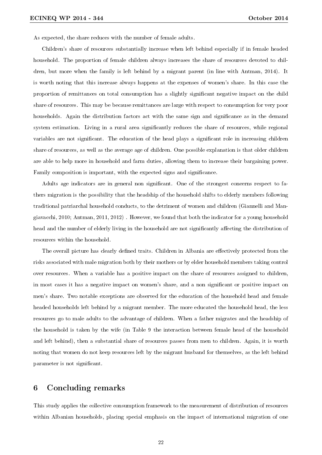As expected, the share reduces with the number of female adults.

Children's share of resources substantially increase when left behind especially if in female headed household. The proportion of female children always increases the share of resources devoted to children, but more when the family is left behind by a migrant parent (in line with Antman, 2014). It is worth noting that this increase always happens at the expenses of women's share. In this case the proportion of remittances on total consumption has a slightly signicant negative impact on the child share of resources. This may be because remittances are large with respect to consumption for very poor households. Again the distribution factors act with the same sign and significance as in the demand system estimation. Living in a rural area significantly reduces the share of resources, while regional variables are not significant. The education of the head plays a significant role in increasing children share of resources, as well as the average age of children. One possible explanation is that older children are able to help more in household and farm duties, allowing them to increase their bargaining power. Family composition is important, with the expected signs and signicance.

Adults age indicators are in general non significant. One of the strongest concerns respect to fathers migration is the possibility that the headship of the household shifts to elderly members following traditional patriarchal household conducts, to the detriment of women and children (Giannelli and Mangiavacchi, 2010; Antman, 2011, 2012) . However, we found that both the indicator for a young household head and the number of elderly living in the household are not significantly affecting the distribution of resources within the household.

The overall picture has clearly defined traits. Children in Albania are effectively protected from the risks associated with male migration both by their mothers or by elder household members taking control over resources. When a variable has a positive impact on the share of resources assigned to children, in most cases it has a negative impact on women's share, and a non signicant or positive impact on men's share. Two notable exceptions are observed for the education of the household head and female headed households left behind by a migrant member. The more educated the household head, the less resources go to male adults to the advantage of children. When a father migrates and the headship of the household is taken by the wife (in Table 9 the interaction between female head of the household and left behind), then a substantial share of resources passes from men to children. Again, it is worth noting that women do not keep resources left by the migrant husband for themselves, as the left behind parameter is not significant.

### 6 Concluding remarks

This study applies the collective consumption framework to the measurement of distribution of resources within Albanian households, placing special emphasis on the impact of international migration of one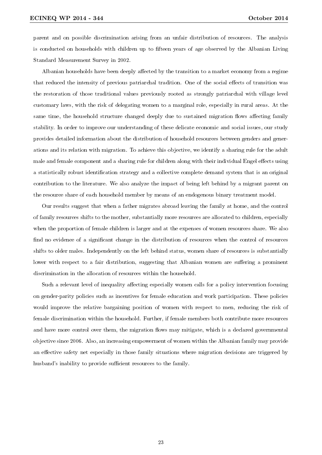parent and on possible discrimination arising from an unfair distribution of resources. The analysis is conducted on households with children up to fifteen years of age observed by the Albanian Living Standard Measurement Survey in 2002.

Albanian households have been deeply affected by the transition to a market economy from a regime that reduced the intensity of previous patriarchal tradition. One of the social effects of transition was the restoration of those traditional values previously rooted as strongly patriarchal with village level customary laws, with the risk of delegating women to a marginal role, especially in rural areas. At the same time, the household structure changed deeply due to sustained migration flows affecting family stability. In order to improve our understanding of these delicate economic and social issues, our study provides detailed information about the distribution of household resources between genders and generations and its relation with migration. To achieve this objective, we identify a sharing rule for the adult male and female component and a sharing rule for children along with their individual Engel effects using a statistically robust identification strategy and a collective complete demand system that is an original contribution to the literature. We also analyze the impact of being left behind by a migrant parent on the resource share of each household member by means of an endogenous binary treatment model.

Our results suggest that when a father migrates abroad leaving the family at home, and the control of family resources shifts to the mother, substantially more resources are allocated to children, especially when the proportion of female children is larger and at the expenses of women resources share. We also find no evidence of a significant change in the distribution of resources when the control of resources shifts to older males. Independently on the left behind status, women share of resources is substantially lower with respect to a fair distribution, suggesting that Albanian women are suffering a prominent discrimination in the allocation of resources within the household.

Such a relevant level of inequality affecting especially women calls for a policy intervention focusing on gender-parity policies such as incentives for female education and work participation. These policies would improve the relative bargaining position of women with respect to men, reducing the risk of female discrimination within the household. Further, if female members both contribute more resources and have more control over them, the migration flows may mitigate, which is a declared governmental objective since 2006. Also, an increasing empowerment of women within the Albanian family may provide an effective safety net especially in those family situations where migration decisions are triggered by husband's inability to provide sufficient resources to the family.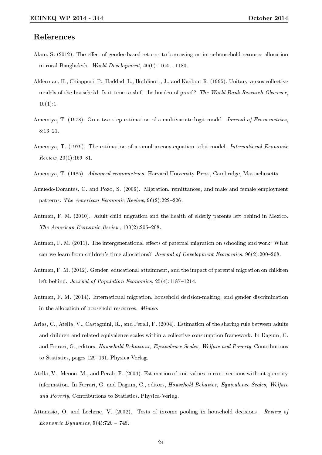### References

- Alam, S. (2012). The effect of gender-based returns to borrowing on intra-household resource allocation in rural Bangladesh. World Development,  $40(6):1164 - 1180$ .
- Alderman, H., Chiappori, P., Haddad, L., Hoddinott, J., and Kanbur, R. (1995). Unitary versus collective models of the household: Is it time to shift the burden of proof? The World Bank Research Observer,  $10(1):1.$
- Amemiya, T. (1978). On a two-step estimation of a multivariate logit model. *Journal of Econometrics*. 8:13-21.
- Amemiya, T. (1979). The estimation of a simultaneous equation tobit model. International Economic  $Review, 20(1):169-81.$
- Amemiya, T. (1985). Advanced econometrics. Harvard University Press, Cambridge, Massachusetts.
- Amuedo-Dorantes, C. and Pozo, S. (2006). Migration, remittances, and male and female employment patterns. The American Economic Review,  $96(2):222-226$ .
- Antman, F. M. (2010). Adult child migration and the health of elderly parents left behind in Mexico. The American Economic Review,  $100(2):205-208$ .
- Antman, F. M. (2011). The intergenerational effects of paternal migration on schooling and work: What can we learn from children's time allocations? Journal of Development Economics,  $96(2):200-208$ .
- Antman, F. M. (2012). Gender, educational attainment, and the impact of parental migration on children left behind. Journal of Population Economics,  $25(4)$ :1187-1214.
- Antman, F. M. (2014). International migration, household decision-making, and gender discrimination in the allocation of household resources. Mimeo.
- Arias, C., Atella, V., Castagnini, R., and Perali, F. (2004). Estimation of the sharing rule between adults and children and related equivalence scales within a collective consumption framework. In Dagum, C. and Ferrari, G., editors, Household Behaviour, Equivalence Scales, Welfare and Poverty, Contributions to Statistics, pages 129–161. Physica-Verlag.
- Atella, V., Menon, M., and Perali, F. (2004). Estimation of unit values in cross sections without quantity information. In Ferrari, G. and Dagum, C., editors, Household Behavior, Equivalence Scales, Welfare and Poverty, Contributions to Statistics. Physica-Verlag.
- Attanasio, O. and Lechene, V. (2002). Tests of income pooling in household decisions. Review of Economic Dynamics,  $5(4)$ :720 - 748.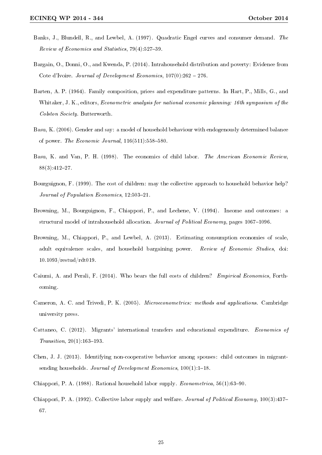- Banks, J., Blundell, R., and Lewbel, A. (1997). Quadratic Engel curves and consumer demand. The Review of Economics and Statistics, 79(4):527-39.
- Bargain, O., Donni, O., and Kwenda, P. (2014). Intrahousehold distribution and poverty: Evidence from Cote d'Ivoire. Journal of Development Economics,  $107(0):262 - 276$ .
- Barten, A. P. (1964). Family composition, prices and expenditure patterns. In Hart, P., Mills, G., and Whitaker, J. K., editors, Econometric analysis for national economic planning: 16th symposium of the Colston Society. Butterworth.
- Basu, K. (2006). Gender and say: a model of household behaviour with endogenously determined balance of power. The Economic Journal,  $116(511):558-580$ .
- Basu, K. and Van, P. H. (1998). The economics of child labor. The American Economic Review,  $88(3):412-27.$
- Bourguignon, F. (1999). The cost of children: may the collective approach to household behavior help? Journal of Population Economics, 12:503-21.
- Browning, M., Bourguignon, F., Chiappori, P., and Lechene, V. (1994). Income and outcomes: a structural model of intrahousehold allocation. Journal of Political Economy, pages 1067-1096.
- Browning, M., Chiappori, P., and Lewbel, A. (2013). Estimating consumption economies of scale, adult equivalence scales, and household bargaining power. Review of Economic Studies, doi: 10.1093/restud/rdt019.
- Caiumi, A. and Perali, F. (2014). Who bears the full costs of children? Empirical Economics, Forthcoming.
- Cameron, A. C. and Trivedi, P. K. (2005). Microeconometrics: methods and applications. Cambridge university press.
- Cattaneo, C. (2012). Migrants' international transfers and educational expenditure. Economics of  $Transition, 20(1):163-193.$
- Chen, J. J. (2013). Identifying non-cooperative behavior among spouses: child outcomes in migrantsending households. Journal of Development Economics,  $100(1)$ :1-18.
- Chiappori, P. A. (1988). Rational household labor supply. *Econometrica*,  $56(1)$ :63-90.
- Chiappori, P. A. (1992). Collective labor supply and welfare. *Journal of Political Economy*, 100(3):437– 67.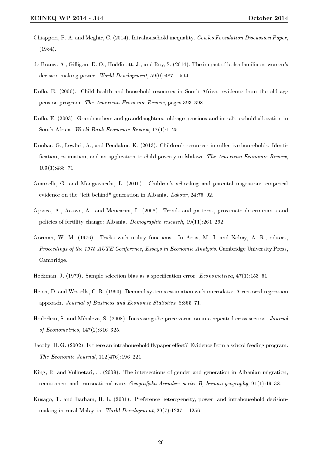- Chiappori, P.-A. and Meghir, C. (2014). Intrahousehold inequality. Cowles Foundation Discussion Paper, (1984).
- de Brauw, A., Gilligan, D. O., Hoddinott, J., and Roy, S. (2014). The impact of bolsa familia on women's decision-making power. World Development,  $59(0)$ :487 - 504.
- Duflo, E. (2000). Child health and household resources in South Africa: evidence from the old age pension program. The American Economic Review, pages 393-398.
- Duflo, E. (2003). Grandmothers and granddaughters: old-age pensions and intrahousehold allocation in South Africa. World Bank Economic Review,  $17(1)$ :1-25.
- Dunbar, G., Lewbel, A., and Pendakur, K. (2013). Children's resources in collective households: Identi fication, estimation, and an application to child poverty in Malawi. The American Economic Review,  $103(1):438-71.$
- Giannelli, G. and Mangiavacchi, L. (2010). Children's schooling and parental migration: empirical evidence on the "left behind" generation in Albania. Labour, 24:76-92.
- Gjonca, A., Aassve, A., and Mencarini, L. (2008). Trends and patterns, proximate determinants and policies of fertility change: Albania. Demographic research,  $19(11):261-292$ .
- Gorman, W. M. (1976). Tricks with utility functions. In Artis, M. J. and Nobay, A. R., editors, Proceedings of the 1975 AUTE Conference, Essays in Economic Analysis. Cambridge University Press, Cambridge.
- Heckman, J. (1979). Sample selection bias as a specification error. *Econometrica*,  $47(1)$ :153–61.
- Heien, D. and Wessells, C. R. (1990). Demand systems estimation with microdata: A censored regression approach. Journal of Business and Economic Statistics, 8:365-71.
- Hoderlein, S. and Mihaleva, S. (2008). Increasing the price variation in a repeated cross section. *Journal* of Econometrics,  $147(2)$ :316-325.
- Jacoby, H. G. (2002). Is there an intrahousehold flypaper effect? Evidence from a school feeding program. The Economic Journal,  $112(476):196-221$ .
- King, R. and Vullnetari, J. (2009). The intersections of gender and generation in Albanian migration, remittances and transnational care. Geografiska Annaler: series B, human geography,  $91(1):19-38$ .
- Kusago, T. and Barham, B. L. (2001). Preference heterogeneity, power, and intrahousehold decisionmaking in rural Malaysia. World Development,  $29(7):1237 - 1256$ .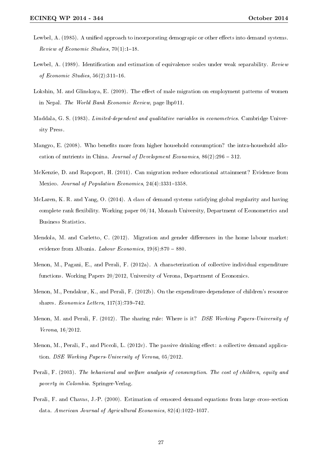- Lewbel, A. (1985). A unified approach to incorporating demograpic or other effects into demand systems. Review of Economic Studies,  $70(1)$ :1-18.
- Lewbel, A. (1989). Identification and estimation of equivalence scales under weak separability. Review of Economic Studies,  $56(2):311-16$ .
- Lokshin, M. and Glinskaya, E. (2009). The effect of male migration on employment patterns of women in Nepal. The World Bank Economic Review, page lhp011.
- Maddala, G. S. (1983). *Limited-dependent and qualitative variables in econometrics*. Cambridge University Press.
- Mangyo, E. (2008). Who benefits more from higher household consumption? the intra-household allocation of nutrients in China. Journal of Development Economics,  $86(2):296 - 312$ .
- McKenzie, D. and Rapoport, H. (2011). Can migration reduce educational attainment? Evidence from Mexico. Journal of Population Economics, 24(4):1331-1358.
- McLaren, K. R. and Yang, O. (2014). A class of demand systems satisfying global regularity and having complete rank flexibility. Working paper  $06/14$ , Monash University, Department of Econometrics and Business Statistics.
- Mendola, M. and Carletto, C. (2012). Migration and gender differences in the home labour market: evidence from Albania. Labour Economics,  $19(6):870 - 880$ .
- Menon, M., Pagani, E., and Perali, F. (2012a). A characterization of collective individual expenditure functions. Working Papers 20/2012, University of Verona, Department of Economics.
- Menon, M., Pendakur, K., and Perali, F. (2012b). On the expenditure-dependence of children's resource shares. Economics Letters,  $117(3)$ :739-742.
- Menon, M. and Perali, F. (2012). The sharing rule: Where is it? DSE Working Papers-University of Verona, 16/2012.
- Menon, M., Perali, F., and Piccoli, L.  $(2012c)$ . The passive drinking effect: a collective demand application. DSE Working Papers-University of Verona, 05/2012.
- Perali, F. (2003). The behavioral and welfare analysis of consumption. The cost of children, equity and poverty in Colombia. Springer-Verlag.
- Perali, F. and Chavas, J.-P. (2000). Estimation of censored demand equations from large cross-section data. American Journal of Agricultural Economics,  $82(4):1022-1037$ .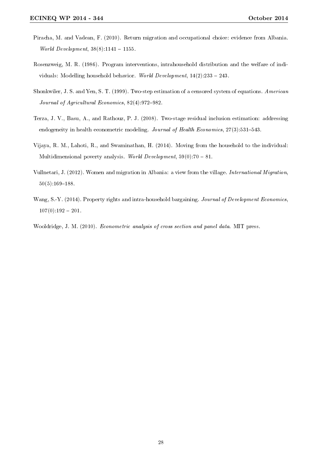- Piracha, M. and Vadean, F. (2010). Return migration and occupational choice: evidence from Albania. World Development,  $38(8):1141 - 1155$ .
- Rosenzweig, M. R. (1986). Program interventions, intrahousehold distribution and the welfare of individuals: Modelling household behavior. World Development,  $14(2):233 - 243$ .
- Shonkwiler, J. S. and Yen, S. T. (1999). Two-step estimation of a censored system of equations. American Journal of Agricultural Economics,  $82(4):972-982$ .
- Terza, J. V., Basu, A., and Rathouz, P. J. (2008). Two-stage residual inclusion estimation: addressing endogeneity in health econometric modeling. Journal of Health Economics,  $27(3):531-543$ .
- Vijaya, R. M., Lahoti, R., and Swaminathan, H. (2014). Moving from the household to the individual: Multidimensional poverty analysis. World Development,  $59(0)$ :70 – 81.
- Vullnetari, J. (2012). Women and migration in Albania: a view from the village. International Migration,  $50(5):169-188.$
- Wang, S.-Y. (2014). Property rights and intra-household bargaining. Journal of Development Economics,  $107(0):192 - 201.$
- Wooldridge, J. M. (2010). Econometric analysis of cross section and panel data. MIT press.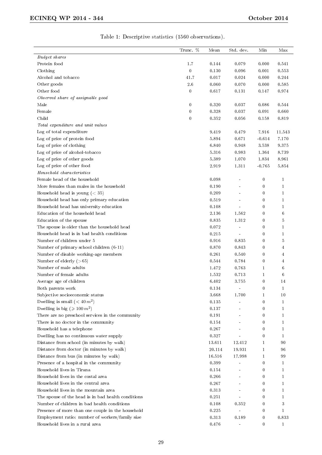|                                                              | Trunc. %         | Mean   | Std. dev.      | Min              | Max          |
|--------------------------------------------------------------|------------------|--------|----------------|------------------|--------------|
| Budget shares                                                |                  |        |                |                  |              |
| Protein food                                                 | 1.7              | 0.144  | 0.079          | 0.000            | 0.541        |
|                                                              |                  | 0.130  |                |                  |              |
| Clothing<br>Alcohol and tobacco                              | $\boldsymbol{0}$ |        | 0.096          | 0.001            | 0.553        |
|                                                              | 41.7             | 0.017  | 0.024          | 0.000            | 0.244        |
| Other goods                                                  | $2.6\,$          | 0.060  | 0.070          | 0.000            | 0.585        |
| Other food                                                   | $\boldsymbol{0}$ | 0.617  | 0.131          | 0.147            | 0.974        |
| $\label{thm:observed} Observed\ share\ of\ assignable\ good$ |                  |        |                |                  |              |
| Male                                                         | $\boldsymbol{0}$ | 0.320  | 0.037          | 0.086            | 0.544        |
| Female                                                       | $\boldsymbol{0}$ | 0.328  | 0.037          | 0.091            | 0.660        |
| Child                                                        | $\boldsymbol{0}$ | 0.352  | 0.056          | 0.158            | 0.819        |
| Total expenditure and unit values                            |                  |        |                |                  |              |
| Log of total expenditure                                     |                  | 9.419  | 0.479          | 7.916            | 11.543       |
| Log of price of protein food                                 |                  | 5.894  | 0.671          | $-0.614$         | 7.170        |
| Log of price of clothing                                     |                  | 6.840  | 0.948          | 3.538            | 9.375        |
| Log of price of alcohol-tobacco                              |                  | 5.316  | 0.983          | 1.364            | 8.739        |
| Log of price of other goods                                  |                  | 5.389  | 1.070          | 1.834            | 8.961        |
| Log of price of other food                                   |                  | 2.919  | 1.311          | $-0.765$         | 5.854        |
| Household characteristics                                    |                  |        |                |                  |              |
| Female head of the household                                 |                  | 0.098  |                | $\boldsymbol{0}$ | $\mathbf{1}$ |
| More females than males in the household                     |                  | 0.190  |                | 0                | $\mathbf{1}$ |
| Household head is young $(< 35)$                             |                  | 0.209  |                | 0                | $\mathbf{1}$ |
| Household head has only primary education                    |                  | 0.519  |                | 0                | $\mathbf{1}$ |
| Household head has university education                      |                  | 0.108  |                | 0                | 1            |
| Education of the household head                              |                  | 2.136  | 1.562          | $\boldsymbol{0}$ | 6            |
| Education of the spouse                                      |                  | 0.835  | 1.312          | 0                | 5            |
| The spouse is older than the household head                  |                  | 0.072  | $\blacksquare$ | 0                | 1            |
| Household head is in bad health conditions                   |                  | 0.215  | $\overline{a}$ | 0                | $\mathbf{1}$ |
| Number of children under 5                                   |                  | 0.916  | 0.835          | $\boldsymbol{0}$ | 5            |
| Number of primary school children (6-11)                     |                  | 0.870  | 0.843          | $\boldsymbol{0}$ | 4            |
| Number of disable working-age members                        |                  | 0.261  | 0.540          | $\boldsymbol{0}$ | 4            |
| Number of elderly $($ >65 $)$                                |                  | 0.544  | 0.784          | 0                | 4            |
| Number of male adults                                        |                  | 1.472  | 0.763          | 1                | 6            |
| Number of female adults                                      |                  | 1.532  | 0.713          | $\mathbf{1}$     | 6            |
|                                                              |                  | 6.402  |                | $\boldsymbol{0}$ |              |
| Average age of children                                      |                  |        | 3.755          |                  | 14           |
| Both parents work                                            |                  | 0.134  |                | 0                | $\mathbf{1}$ |
| Subjective socioeconomic status                              |                  | 3.668  | 1.700          | 1                | 10           |
| Dwelling is small $(40 m2)$                                  |                  | 0.135  |                | $\boldsymbol{0}$ | 1            |
| Dwelling is big $(\geq 100 \, m^2)$                          |                  | 0.137  |                | $\bf{0}$         | $\mathbf{1}$ |
| There are no preschool services in the community             |                  | 0.191  |                | $\bf{0}$         | 1            |
| There is no doctor in the community                          |                  | 0.154  |                | $\boldsymbol{0}$ | $\mathbf{1}$ |
| Household has a telephone                                    |                  | 0.267  |                | 0                | 1            |
| Dwelling has no continuous water supply                      |                  | 0.327  |                | $\bf{0}$         | 1            |
| Distance from school (in minutes by walk)                    |                  | 13.611 | 12.412         | 1                | 90           |
| Distance from doctor (in minutes by walk)                    |                  | 20.114 | 19.931         | 1                | 96           |
| Distance from bus (in minutes by walk)                       |                  | 16.516 | 17.998         | 1                | 99           |
| Presence of a hospital in the community                      |                  | 0.399  |                | 0                | 1            |
| Household lives in Tirana                                    |                  | 0.154  | Ĭ.             | $\bf{0}$         | 1            |
| Household lives in the costal area                           |                  | 0.266  |                | $\bf{0}$         | 1            |
| Household lives in the central area                          |                  | 0.267  |                | 0                | 1            |
| Household lives in the mountain area                         |                  | 0.313  |                | $\boldsymbol{0}$ | 1            |
| The spouse of the head is in bad health conditions           |                  | 0.251  |                | $\boldsymbol{0}$ | $\mathbf{1}$ |
| Number of children in bad health conditions                  |                  | 0.108  | 0.352          | 0                | 3            |
| Presence of more than one couple in the household            |                  | 0.225  |                | $\boldsymbol{0}$ | 1            |
| Employment ratio: number of workers/family size              |                  | 0.313  | 0.189          | 0                | 0.833        |
| Household lives in a rural area                              |                  | 0.476  | -              | $\boldsymbol{0}$ | 1            |

# Table 1: Descriptive statistics (1560 observations).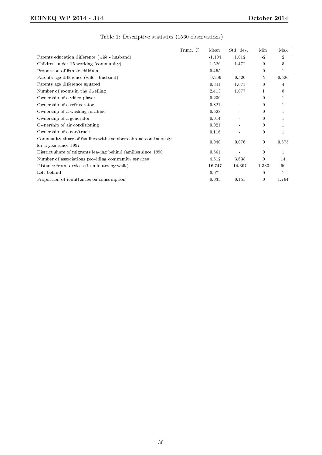|                                                                                       | Trunc. % | Mean     | Std. dev.      | Min         | Max            |
|---------------------------------------------------------------------------------------|----------|----------|----------------|-------------|----------------|
| Parents education difference (wife - husband)                                         |          | $-1.104$ | 1.012          | $-2$        | $\overline{2}$ |
| Children under 15 working (community)                                                 |          | 1.526    | 1.472          | $\bf{0}$    | 5              |
| Proportion of female children                                                         |          | 0.455    |                | $\bf{0}$    | 1              |
| Parents age difference (wife - husband)                                               |          | $-0.266$ | 0.520          | $-2$        | 0.526          |
| Parents age difference squared                                                        |          | 0.341    | 1.071          | $\bf{0}$    | 4              |
| Number of rooms in the dwelling                                                       |          | 2.413    | 1.077          |             | 8              |
| Ownership of a video player                                                           |          | 0.230    |                | $\bf{0}$    |                |
| Ownership of a refrigerator                                                           |          | 0.821    |                | $\Omega$    |                |
| Ownership of a washing machine                                                        |          | 0.528    |                | $\Omega$    |                |
| Ownership of a generator                                                              |          | 0.014    |                | 0           |                |
| Ownership of air conditioning                                                         |          | 0.021    | $\blacksquare$ | $\bf{0}$    |                |
| Ownership of a car/truck                                                              |          | 0.116    |                | $\bf{0}$    |                |
| Community share of families with members abroad continuously<br>for a year since 1997 |          | 0.040    | 0.076          | $\mathbf 0$ | 0.875          |
| District share of migrants leaving behind families since 1990                         |          | 0.561    |                | $\Omega$    | 1              |
| Number of associations providing community services                                   |          | 4.512    | 3.638          | $\Omega$    | 14             |
| Distance from services (in minutes by walk)                                           |          | 16.747   | 14.307         | 1.333       | 90             |
| Left behind                                                                           |          | 0.072    | $\blacksquare$ | $\bf{0}$    | $\mathbf{1}$   |
| Proportion of remittances on consumption                                              |          | 0.033    | 0.155          | 0           | 1.764          |

# Table 1: Descriptive statistics (1560 observations).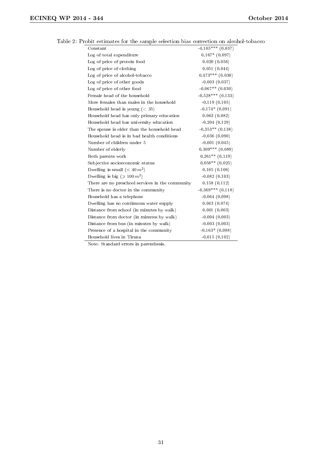| Constant                                         | $-4.105***$ (0.837)   |
|--------------------------------------------------|-----------------------|
| Log of total expenditure                         | $0.167*$ (0.097)      |
| Log of price of protein food                     | 0.020(0.056)          |
| Log of price of clothing                         | 0.051(0.044)          |
| Log of price of alcohol-tobacco                  | $0.473***$ $(0.038)$  |
| Log of price of other goods                      | $-0.003(0.037)$       |
| Log of price of other food                       | $-0.067**$ (0.030)    |
| Female head of the household                     | $-0.528***$ (0.133)   |
| More females than males in the household         | $-0.119(0.105)$       |
| Household head is young $(< 35)$                 | $-0.174*(0.091)$      |
| Household head has only primary education        | 0.063(0.082)          |
| Household head has university education          | $-0.204(0.129)$       |
| The spouse is older than the household head      | $-0.353**$ (0.138)    |
| Household head is in bad health conditions       | $-0.036(0.090)$       |
| Number of children under 5                       | $-0.001(0.045)$       |
| Number of elderly                                | $0.309***$ $(0.089)$  |
| Both parents work                                | $0.261**$ (0.119)     |
| Subjective socioeconomic status                  | $0.058**$ (0.025)     |
| Dwelling is small $(40 m2)$                      | 0.105(0.106)          |
| Dwelling is big ( $\geqslant 100 \, m^2$ )       | $-0.082(0.103)$       |
| There are no preschool services in the community | 0.158(0.112)          |
| There is no doctor in the community              | $-0.369***$ $(0.118)$ |
| Household has a telephone                        | $-0.064(0.098)$       |
| Dwelling has no continuous water supply          | 0.043(0.074)          |
| Distance from school (in minutes by walk)        | 0.001(0.003)          |
| Distance from doctor (in minutes by walk)        | $-0.004(0.003)$       |
| Distance from bus (in minutes by walk)           | $-0.003(0.003)$       |
| Presence of a hospital in the community          | $-0.163*$ (0.088)     |
| Household lives in Tirana                        | $-0.015(0.102)$       |

Table 2: Probit estimates for the sample selection bias correction on alcohol-tobacco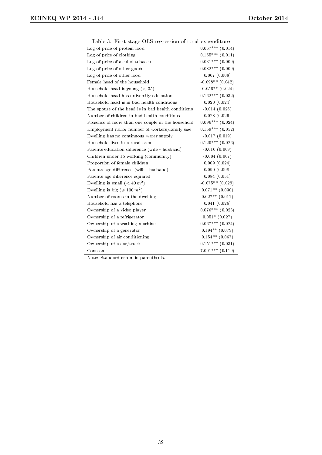| Table 3: First stage OLS regression of total expenditure |                      |
|----------------------------------------------------------|----------------------|
| Log of price of protein food                             | $0.067***$ (0.014)   |
| Log of price of clothing                                 | $0.155***$ $(0.011)$ |
| Log of price of alcohol-tobacco                          | $0.031***$ (0.009)   |
| Log of price of other goods                              | $0.082***$ (0.009)   |
| Log of price of other food                               | 0.007(0.008)         |
| Female head of the household                             | $-0.098**$ (0.042)   |
| Household head is young $(< 35)$                         | $-0.056**$ (0.024)   |
| Household head has university education                  | $0.162***$ (0.032)   |
| Household head is in bad health conditions               | 0.020(0.024)         |
| The spouse of the head is in bad health conditions       | $-0.014(0.026)$      |
| Number of children in bad health conditions              | 0.028(0.026)         |
| Presence of more than one couple in the household        | $0.096***$ $(0.024)$ |
| Employment ratio: number of workers/family size          | $0.159***$ $(0.052)$ |
| Dwelling has no continuous water supply                  | $-0.017(0.019)$      |
| Household lives in a rural area                          | $0.120***$ (0.026)   |
| Parents education difference (wife - husband)            | $-0.010(0.009)$      |
| Children under 15 working (community)                    | $-0.004(0.007)$      |
| Proportion of female children                            | 0.009(0.024)         |
| Parents age difference (wife - husband)                  | 0.090(0.098)         |
| Parents age difference squared                           | 0.084(0.051)         |
| Dwelling is small $(40 m2)$                              | $-0.075**$ (0.029)   |
| Dwelling is big ( $\geqslant 100 \, m^2$ )               | $0.071**$ (0.030)    |
| Number of rooms in the dwelling                          | $0.027**$ $(0.011)$  |
| Household has a telephone                                | 0.041(0.026)         |
| Ownership of a video player                              | $0.076***$ (0.023)   |
| Ownership of a refrigerator                              | $0.051*$ (0.027)     |
| Ownership of a washing machine                           | $0.067***$ $(0.024)$ |
| Ownership of a generator                                 | $0.194**$ (0.079)    |
| Ownership of air conditioning                            | $0.154**$ (0.067)    |
| Ownership of a car/truck                                 | $0.151***$ $(0.031)$ |
| Constant                                                 | $7.001***$ (0.119)   |

Table 3: First stage OLS regression of total expenditure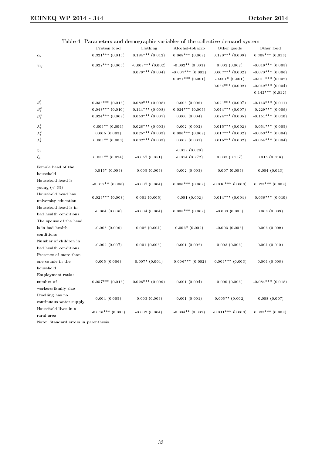|                         | Table 4: Farameters and demographic variables of the conective demand system<br>Protein food | Clothing             | Alcohol-tobacco      | Other goods          | Other food            |
|-------------------------|----------------------------------------------------------------------------------------------|----------------------|----------------------|----------------------|-----------------------|
| $\alpha_i$              | $0.321***$ (0.013)                                                                           | $0.184***$ $(0.012)$ | $0.068***$ (0.008)   | $0.120***$ (0.009)   | $0.308***$ (0.016)    |
|                         |                                                                                              |                      |                      |                      |                       |
| $\gamma_{ij}$           | $0.027***$ (0.003)                                                                           | $-0.009***$ (0.002)  | $-0.002**$ (0.001)   | 0.002(0.002)         | $-0.019***$ $(0.005)$ |
|                         |                                                                                              | $0.079***$ (0.004)   | $-0.007***$ (0.001)  | $0.007$ *** (0.002)  | $-0.070***$ (0.006)   |
|                         |                                                                                              |                      | $0.021***$ $(0.001)$ | $-0.001*$ (0.001)    | $-0.011***$ (0.002)   |
|                         |                                                                                              |                      |                      | $0.034***$ $(0.002)$ | $-0.042***$ (0.004)   |
|                         |                                                                                              |                      |                      |                      | $0.142***$ (0.012)    |
| $\beta_i^1$             | $0.035***$ $(0.013)$                                                                         | $0.082***$ (0.008)   | 0.005(0.006)         | $0.021***$ (0.007)   | $-0.143***$ $(0.011)$ |
| $\beta_i^2$             | $0.048***$ $(0.010)$                                                                         | $0.114***$ (0.008)   | $0.024***$ (0.005)   | $0.044***$ $(0.007)$ | $-0.229***$ (0.009)   |
| $\beta_i^3$             | $0.024***$ $(0.009)$                                                                         | $0.053***$ (0.007)   | 0.000(0.004)         | $0.074***$ (0.005)   | $-0.151***$ (0.010)   |
|                         | $0.009**$ (0.004)                                                                            | $0.028***$ (0.003)   | 0.002(0.002)         | $0.015***$ (0.002)   | $-0.054***$ (0.005)   |
| $\lambda_i^1$           |                                                                                              | $0.025***$ (0.003)   | $0.006***$ (0.002)   | $0.017***$ (0.002)   | $-0.053***$ (0.004)   |
| $\lambda_i^2$           | 0.005(0.003)                                                                                 |                      |                      |                      |                       |
| $\lambda_i^3$           | $0.006**$ (0.003)                                                                            | $0.032***$ (0.003)   | 0.002(0.001)         | $0.015***$ (0.002)   | $-0.054***$ (0.004)   |
| $\eta_i$                |                                                                                              |                      | $-0.019(0.029)$      |                      |                       |
| $\zeta_i$               | $0.053**$ (0.024)                                                                            | $-0.057(0.081)$      | $-0.014(0.272)$      | 0.003(0.137)         | 0.015(0.316)          |
|                         |                                                                                              |                      |                      |                      |                       |
| Female head of the      | $0.015*(0.009)$                                                                              | $-0.005(0.006)$      | 0.002(0.003)         | $-0.007(0.005)$      | $-0.004(0.013)$       |
| household               |                                                                                              |                      |                      |                      |                       |
| Household head is       | $-0.012**$ (0.006)                                                                           | $-0.007(0.004)$      | $0.006***$ (0.002)   | $-0.010***$ (0.003)  | $0.023***$ (0.009)    |
| young $(< 35)$          |                                                                                              |                      |                      |                      |                       |
| Household head has      | $0.023***$ (0.008)                                                                           | 0.001(0.005)         | $-0.001(0.002)$      | $0.014***$ (0.004)   | $-0.036***$ (0.010)   |
| university education    |                                                                                              |                      |                      |                      |                       |
| Household head is in    | $-0.004(0.006)$                                                                              | $-0.004(0.004)$      | $0.005***$ (0.002)   | $-0.003(0.003)$      | 0.006(0.009)          |
| bad health conditions   |                                                                                              |                      |                      |                      |                       |
| The spouse of the head  |                                                                                              |                      |                      |                      |                       |
| is in bad health        | $-0.008(0.006)$                                                                              | 0.002(0.004)         | $0.003*$ (0.002)     | $-0.003(0.003)$      | 0.006(0.009)          |
| conditions              |                                                                                              |                      |                      |                      |                       |
| Number of children in   | $-0.009(0.007)$                                                                              | 0.001(0.005)         | 0.001(0.002)         | 0.003(0.003)         | 0.004(0.010)          |
| bad health conditions   |                                                                                              |                      |                      |                      |                       |
| Presence of more than   |                                                                                              |                      |                      |                      |                       |
| one couple in the       | 0.005(0.006)                                                                                 | $0.007*$ (0.004)     | $-0.006***$ (0.002)  | $-0.009***$ (0.003)  | 0.004(0.008)          |
| household               |                                                                                              |                      |                      |                      |                       |
| Employment ratio:       |                                                                                              |                      |                      |                      |                       |
| $\hbox{number}$ of      | $0.057***$ (0.013)                                                                           | $0.026***$ (0.009)   | 0.001(0.004)         | 0.000(0.006)         | $-0.084***$ (0.018)   |
| workers/family size     |                                                                                              |                      |                      |                      |                       |
| Dwelling has no         | 0.004(0.005)                                                                                 | $-0.003(0.003)$      | 0.001(0.001)         | $0.005**$ (0.002)    | $-0.008(0.007)$       |
| continuous water supply |                                                                                              |                      |                      |                      |                       |
| Household lives in a    | $-0.016***$ (0.006)                                                                          | $-0.002(0.004)$      | $-0.004**$ (0.002)   | $-0.011***$ (0.003)  | $0.033***$ $(0.008)$  |
| rural area              |                                                                                              |                      |                      |                      |                       |

Table 4: Parameters and demographic variables of the collective demand system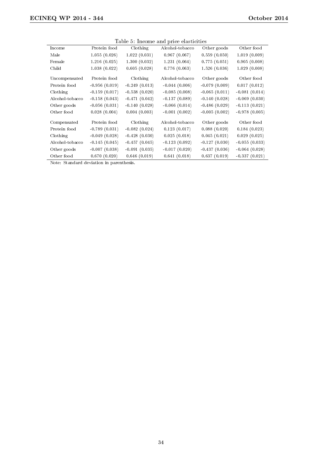| Table 5: Income and price elasticities |                 |                 |                 |                 |                 |  |  |  |
|----------------------------------------|-----------------|-----------------|-----------------|-----------------|-----------------|--|--|--|
| Income                                 | Protein food    | Clothing        | Alcohol-tobacco | Other goods     | Other food      |  |  |  |
| Male                                   | 1.055(0.026)    | 1.022(0.031)    | 0.967(0.067)    | 0.559(0.050)    | 1.019(0.009)    |  |  |  |
| Female                                 | 1.216(0.025)    | 1.300(0.032)    | 1.231(0.064)    | 0.775(0.051)    | 0.905(0.008)    |  |  |  |
| Child                                  | 1.038(0.022)    | 0.605(0.028)    | 0.776(0.063)    | 1.526(0.036)    | 1.029(0.008)    |  |  |  |
| Uncompensated                          | Protein food    | Clothing        | Alcohol-tobacco | Other goods     | Other food      |  |  |  |
| Protein food                           | $-0.956(0.019)$ | $-0.249(0.013)$ | $-0.044(0.006)$ | $-0.079(0.009)$ | 0.017(0.012)    |  |  |  |
| Clothing                               | $-0.159(0.017)$ | $-0.538(0.020)$ | $-0.085(0.008)$ | $-0.065(0.011)$ | $-0.081(0.014)$ |  |  |  |
| Alcohol-tobacco                        | $-0.158(0.043)$ | $-0.471(0.042)$ | $-0.137(0.089)$ | $-0.140(0.028)$ | $-0.069(0.030)$ |  |  |  |
| Other goods                            | $-0.056(0.031)$ | $-0.140(0.028)$ | $-0.066(0.014)$ | $-0.486(0.029)$ | $-0.113(0.021)$ |  |  |  |
| Other food                             | 0.028(0.004)    | 0.004(0.003)    | $-0.001(0.002)$ | $-0.005(0.002)$ | $-0.978(0.005)$ |  |  |  |
| Compensated                            | Protein food    | Clothing        | Alcohol-tobacco | Other goods     | Other food      |  |  |  |
| Protein food                           | $-0.789(0.031)$ | $-0.082(0.024)$ | 0.123(0.017)    | 0.088(0.020)    | 0.184(0.023)    |  |  |  |
| Clothing                               | $-0.049(0.028)$ | $-0.428(0.030)$ | 0.025(0.018)    | 0.045(0.021)    | 0.029(0.025)    |  |  |  |
| Alcohol-tobacco                        | $-0.145(0.045)$ | $-0.457(0.045)$ | $-0.123(0.092)$ | $-0.127(0.030)$ | $-0.055(0.033)$ |  |  |  |
| Other goods                            | $-0.007(0.038)$ | $-0.091(0.035)$ | $-0.017(0.020)$ | $-0.437(0.036)$ | $-0.064(0.028)$ |  |  |  |
| Other food                             | 0.670(0.020)    | 0.646(0.019)    | 0.641(0.018)    | 0.637(0.019)    | $-0.337(0.021)$ |  |  |  |

Table 5: Income and price elasticities

Note: Standard deviation in parenthesis.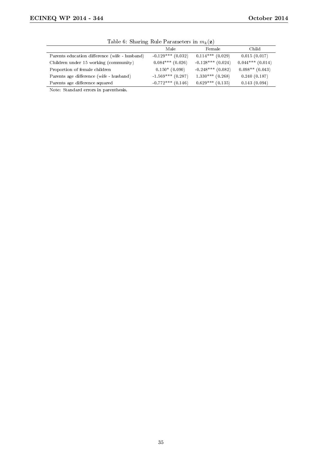| <b>Table 0.</b> Differing Four Farallite to in $m_k(\mathbf{z})$ |                     |                      |                    |  |  |  |  |
|------------------------------------------------------------------|---------------------|----------------------|--------------------|--|--|--|--|
|                                                                  | Male                | Female               | Child              |  |  |  |  |
| Parents education difference (wife - husband)                    | $-0.129***$ (0.032) | $0.114***$ (0.029)   | 0.015(0.017)       |  |  |  |  |
| Children under 15 working (community)                            | $0.084***$ (0.026)  | $-0.128***$ (0.024)  | $0.044***$ (0.014) |  |  |  |  |
| Proportion of female children                                    | $0.150*(0.090)$     | $-0.248***$ (0.082)  | $0.098**$ (0.043)  |  |  |  |  |
| Parents age difference (wife - husband)                          | $-1.569***$ (0.287) | $1.330***$ (0.268)   | 0.240(0.187)       |  |  |  |  |
| Parents age difference squared                                   | $-0.772***$ (0.146) | $0.629***$ $(0.135)$ | 0.143(0.094)       |  |  |  |  |

Table 6: Sharing Rule Parameters in  $m_k(\mathbf{z})$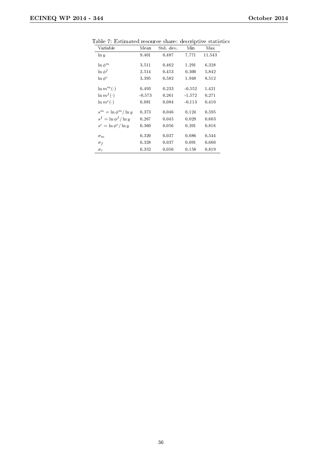| Variable                   | Mean     | Std. dev. | Min      | Max    |
|----------------------------|----------|-----------|----------|--------|
| $\ln y$                    | 9.401    | 0.487     | 7.771    | 11.543 |
|                            |          |           |          |        |
| $\ln \phi^m$               | 3.511    | 0.462     | 1.291    | 6.328  |
| $\ln \phi^f$               | 2.514    | 0.453     | 0.300    | 5.842  |
| $\ln \phi^c$               | 3.395    | 0.582     | 1.948    | 8.512  |
|                            |          |           |          |        |
| $\ln m^m(\cdot)$           | 0.493    | 0.233     | $-0.552$ | 1.421  |
| $\ln m^f(\cdot)$           | $-0.573$ | 0.261     | 1.572    | 0.271  |
| $\ln m^c(\cdot)$           | 0.081    | 0.084     | $-0.113$ | 0.410  |
| $s^m = \ln \phi^m / \ln y$ | 0.373    | 0.046     | 0.124    | 0.595  |
| $s^f = \ln \phi^f / \ln y$ | 0.267    | 0.045     | 0.029    | 0.603  |
| $s^c = \ln \phi^c / \ln y$ | 0.360    | 0.056     | 0.201    | 0.816  |
| $\sigma_m$                 | 0.320    | 0.037     | 0.086    | 0.544  |
|                            | 0.328    | 0.037     | 0.091    | 0.660  |
| $\sigma_f$                 |          |           |          |        |
| $\sigma_c$                 | 0.352    | 0.056     | 0.158    | 0.819  |

Table 7: Estimated resource share: descriptive statistics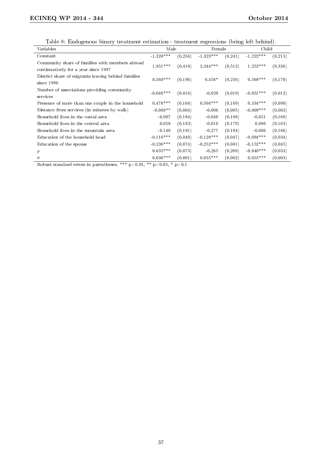Table 8: Endogenous binary treatment estimation - treatment regressions (being left behind).

|                                                                                         | таліє о. Епилясныя ліпату стеаспісне езеннасімі - стеаспісне гедісэзімня (ленія теп леніни). |         |             |         |             |         |
|-----------------------------------------------------------------------------------------|----------------------------------------------------------------------------------------------|---------|-------------|---------|-------------|---------|
| Variables                                                                               | Male                                                                                         |         | Female      |         | Child       |         |
| Constant                                                                                | $-1.328***$                                                                                  | (0.234) | $-1.323***$ | (0.241) | $-1.222***$ | (0.213) |
| Community share of families with members abroad<br>continuatively for a year since 1997 | $1.951***$                                                                                   | (0.410) | $2.344***$  | (0.512) | $1.253***$  | (0.326) |
| District share of migrants leaving behind families<br>since 1990                        | $0.560***$                                                                                   | (0.196) | $0.456*$    | (0.256) | $0.568***$  | (0.170) |
| Number of associations providing community<br>services                                  | $-0.046***$                                                                                  | (0.016) | $-0.029$    | (0.019) | $-0.051***$ | (0.012) |
| Presence of more than one couple in the household                                       | $0.470***$                                                                                   | (0.104) | $0.504***$  | (0.109) | $0.334***$  | (0.090) |
| Distance from services (in minutes by walk)                                             | $-0.008**$                                                                                   | (0.004) | $-0.006$    | (0.005) | $-0.009***$ | (0.003) |
| Household lives in the costal area                                                      | $-0.007$                                                                                     | (0.184) | $-0.040$    | (0.188) | $-0.051$    | (0.168) |
| Household lives in the central area                                                     | 0.058                                                                                        | (0.183) | $-0.010$    | (0.179) | 0.086       | (0.163) |
| Household lives in the mountain area                                                    | $-0.140$                                                                                     | (0.191) | $-0.277$    | (0.184) | $-0.006$    | (0.166) |
| Education of the household head                                                         | $-0.116***$                                                                                  | (0.040) | $-0.128***$ | (0.047) | $-0.094***$ | (0.034) |
| Education of the spouse                                                                 | $-0.236***$                                                                                  | (0.074) | $-0.252***$ | (0.081) | $-0.152***$ | (0.045) |
| $\rho$                                                                                  | $0.635***$                                                                                   | (0.073) | $-0.265$    | (0.269) | $-0.840***$ | (0.033) |
| $\sigma$                                                                                | $0.036***$                                                                                   | (0.001) | $0.035***$  | (0.002) | $0.055***$  | (0.003) |

Robust standard errors in parentheses. \*\*\* p<0.01, \*\* p<0.05, \* p<0.1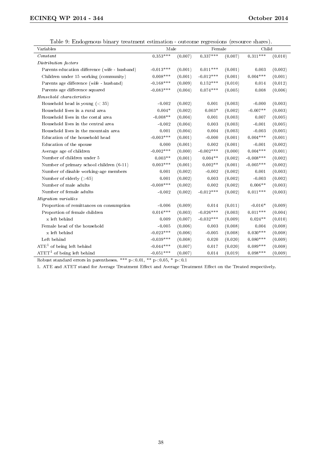Table 9: Endogenous binary treatment estimation - outcome regressions (resource shares).

| Table of Endogenous binary treatment commation coacome regressions (resource shares).<br>Variables | Male        |         | Female      |         | Child       |         |
|----------------------------------------------------------------------------------------------------|-------------|---------|-------------|---------|-------------|---------|
| Constant                                                                                           | $0.353***$  | (0.007) | $0.337***$  | (0.007) | $0.311***$  | (0.010) |
| Distribution factors                                                                               |             |         |             |         |             |         |
| Parents education difference (wife - husband)                                                      | $-0.013***$ | (0.001) | $0.011***$  | (0.001) | 0.003       | (0.002) |
| Children under 15 working (community)                                                              | $0.008***$  | (0.001) | $-0.012***$ | (0.001) | $0.004***$  | (0.001) |
| Parents age difference (wife - husband)                                                            | $-0.168***$ | (0.009) | $0.152***$  | (0.010) | 0.014       | (0.012) |
| Parents age difference squared                                                                     | $-0.083***$ | (0.004) | $0.074***$  | (0.005) | 0.008       | (0.006) |
| Household characteristics                                                                          |             |         |             |         |             |         |
| Household head is young $(< 35)$                                                                   | $-0.002$    | (0.002) | 0.001       | (0.003) | $-0.000$    | (0.003) |
| Household lives in a rural area                                                                    | $0.004*$    | (0.002) | $0.003*$    | (0.002) | $-0.007**$  | (0.003) |
| Household lives in the costal area                                                                 | $-0.008**$  | (0.004) | 0.001       | (0.003) | 0.007       | (0.005) |
| Household lives in the central area                                                                | $-0.002$    | (0.004) | 0.003       | (0.003) | $-0.001$    | (0.005) |
| Household lives in the mountain area                                                               | 0.001       | (0.004) | 0.004       | (0.003) | $-0.003$    | (0.005) |
| Education of the household head                                                                    | $-0.003***$ | (0.001) | $-0.000$    | (0.001) | $0.004***$  | (0.001) |
| Education of the spouse                                                                            | 0.000       | (0.001) | 0.002       | (0.001) | $-0.001$    | (0.002) |
| Average age of children                                                                            | $-0.002***$ | (0.000) | $-0.002***$ | (0.000) | $0.004***$  | (0.001) |
| Number of children under 5                                                                         | $0.003**$   | (0.001) | $0.004**$   | (0.002) | $-0.008***$ | (0.002) |
| Number of primary school children (6-11)                                                           | $0.003***$  | (0.001) | $0.002**$   | (0.001) | $-0.005***$ | (0.002) |
| Number of disable working-age members                                                              | 0.001       | (0.002) | $-0.002$    | (0.002) | 0.001       | (0.003) |
| Number of elderly $($ >65 $)$                                                                      | 0.001       | (0.002) | 0.003       | (0.002) | $-0.003$    | (0.002) |
| Number of male adults                                                                              | $-0.008***$ | (0.002) | 0.002       | (0.002) | $0.006**$   | (0.003) |
| Number of female adults                                                                            | $-0.002$    | (0.002) | $-0.012***$ | (0.002) | $0.011***$  | (0.003) |
| Migration variables                                                                                |             |         |             |         |             |         |
| Proportion of remittances on consumption                                                           | $-0.006$    | (0.009) | 0.014       | (0.011) | $-0.016*$   | (0.009) |
| Proportion of female children                                                                      | $0.016***$  | (0.003) | $-0.026***$ | (0.003) | $0.011***$  | (0.004) |
| x left behind                                                                                      | 0.009       | (0.007) | $-0.032***$ | (0.009) | $0.024**$   | (0.010) |
| Female head of the household                                                                       | $-0.005$    | (0.006) | 0.003       | (0.008) | 0.004       | (0.008) |
| x left behind                                                                                      | $-0.023***$ | (0.006) | $-0.005$    | (0.008) | $0.030***$  | (0.008) |
| Left behind                                                                                        | $-0.039***$ | (0.008) | 0.020       | (0.020) | $0.080***$  | (0.009) |
| $ATE1$ of being left behind                                                                        | $-0.044***$ | (0.007) | 0.017       | (0.020) | $0.089***$  | (0.008) |
| $\text{ATET}^1$ of being left behind                                                               | $-0.051***$ | (0.007) | 0.014       | (0.019) | $0.098***$  | (0.009) |

Robust standard errors in parentheses. \*\*\*  $p<0.01$ , \*\*  $p<0.05$ , \*  $p<0.1$ 

1. ATE and ATET stand for Average Treatment Effect and Average Treatment Effect on the Treated respectively.